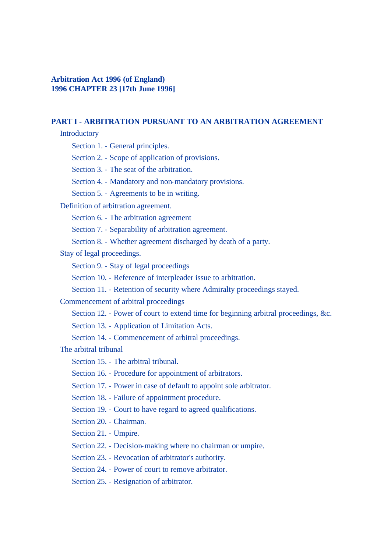### **Arbitration Act 1996 (of England) 1996 CHAPTER 23 [17th June 1996]**

### **PART I - ARBITRATION PURSUANT TO AN ARBITRATION AGREEMENT**

**Introductory** 

Section 1. - General principles.

Section 2. - Scope of application of provisions.

Section 3. - The seat of the arbitration.

Section 4. - Mandatory and non-mandatory provisions.

Section 5. - Agreements to be in writing.

Definition of arbitration agreement.

Section 6. - The arbitration agreement

Section 7. - Separability of arbitration agreement.

Section 8. - Whether agreement discharged by death of a party.

Stay of legal proceedings.

Section 9. - Stay of legal proceedings

Section 10. - Reference of interpleader issue to arbitration.

Section 11. - Retention of security where Admiralty proceedings stayed.

Commencement of arbitral proceedings

Section 12. - Power of court to extend time for beginning arbitral proceedings, &c.

Section 13. - Application of Limitation Acts.

Section 14. - Commencement of arbitral proceedings.

The arbitral tribunal

Section 15. - The arbitral tribunal.

Section 16. - Procedure for appointment of arbitrators.

Section 17. - Power in case of default to appoint sole arbitrator.

Section 18. - Failure of appointment procedure.

Section 19. - Court to have regard to agreed qualifications.

Section 20. - Chairman.

Section 21. - Umpire.

Section 22. - Decision-making where no chairman or umpire.

Section 23. - Revocation of arbitrator's authority.

Section 24. - Power of court to remove arbitrator.

Section 25. - Resignation of arbitrator.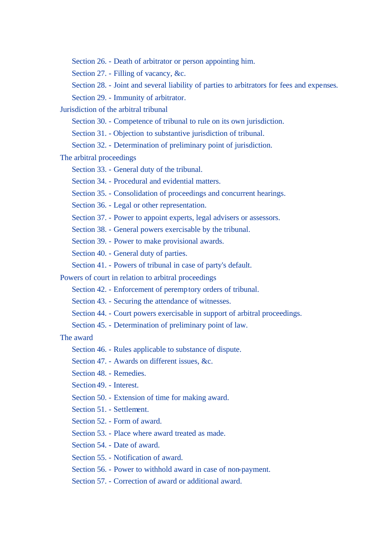Section 26. - Death of arbitrator or person appointing him.

Section 27. - Filling of vacancy, &c.

Section 28. - Joint and several liability of parties to arbitrators for fees and expenses.

Section 29. - Immunity of arbitrator.

Jurisdiction of the arbitral tribunal

Section 30. - Competence of tribunal to rule on its own jurisdiction.

Section 31. - Objection to substantive jurisdiction of tribunal.

Section 32. - Determination of preliminary point of jurisdiction.

The arbitral proceedings

Section 33. - General duty of the tribunal.

Section 34. - Procedural and evidential matters.

Section 35. - Consolidation of proceedings and concurrent hearings.

Section 36. - Legal or other representation.

Section 37. - Power to appoint experts, legal advisers or assessors.

Section 38. - General powers exercisable by the tribunal.

Section 39. - Power to make provisional awards.

Section 40. - General duty of parties.

Section 41. - Powers of tribunal in case of party's default.

Powers of court in relation to arbitral proceedings

Section 42. - Enforcement of peremptory orders of tribunal.

Section 43. - Securing the attendance of witnesses.

Section 44. - Court powers exercisable in support of arbitral proceedings.

Section 45. - Determination of preliminary point of law.

The award

Section 46. - Rules applicable to substance of dispute.

Section 47. - Awards on different issues, &c.

Section 48. - Remedies.

Section 49. - Interest.

Section 50. - Extension of time for making award.

Section 51. - Settlement.

Section 52. - Form of award.

Section 53. - Place where award treated as made.

Section 54. - Date of award.

Section 55. - Notification of award.

Section 56. - Power to withhold award in case of non-payment.

Section 57. - Correction of award or additional award.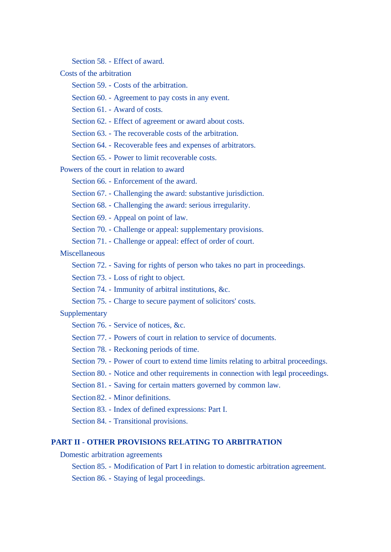Section 58. - Effect of award.

Costs of the arbitration

Section 59. - Costs of the arbitration.

Section 60. - Agreement to pay costs in any event.

Section 61. - Award of costs.

Section 62. - Effect of agreement or award about costs.

Section 63. - The recoverable costs of the arbitration.

Section 64. - Recoverable fees and expenses of arbitrators.

Section 65. - Power to limit recoverable costs.

Powers of the court in relation to award

Section 66. - Enforcement of the award.

Section 67. - Challenging the award: substantive jurisdiction.

Section 68. - Challenging the award: serious irregularity.

Section 69. - Appeal on point of law.

Section 70. - Challenge or appeal: supplementary provisions.

Section 71. - Challenge or appeal: effect of order of court.

### **Miscellaneous**

Section 72. - Saving for rights of person who takes no part in proceedings.

Section 73. - Loss of right to object.

Section 74. - Immunity of arbitral institutions, &c.

Section 75. - Charge to secure payment of solicitors' costs.

### **Supplementary**

Section 76. - Service of notices, &c.

Section 77. - Powers of court in relation to service of documents.

Section 78. - Reckoning periods of time.

Section 79. - Power of court to extend time limits relating to arbitral proceedings.

Section 80. - Notice and other requirements in connection with legal proceedings.

Section 81. - Saving for certain matters governed by common law.

Section 82. - Minor definitions.

Section 83. - Index of defined expressions: Part I.

Section 84. - Transitional provisions.

### **PART II - OTHER PROVISIONS RELATING TO ARBITRATION**

Domestic arbitration agreements

Section 85. - Modification of Part I in relation to domestic arbitration agreement. Section 86. - Staying of legal proceedings.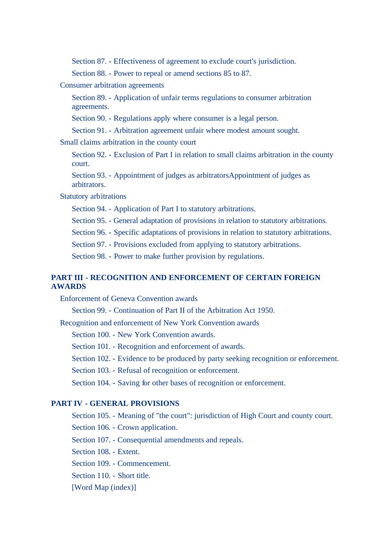Section 87. - Effectiveness of agreement to exclude court's jurisdiction.

Section 88. - Power to repeal or amend sections 85 to 87.

### Consumer arbitration agreements

Section 89. - Application of unfair terms regulations to consumer arbitration agreements.

Section 90. - Regulations apply where consumer is a legal person.

Section 91. - Arbitration agreement unfair where modest amount sought.

Small claims arbitration in the county court

Section 92. - Exclusion of Part I in relation to small claims arbitration in the county court.

Section 93. - Appointment of judges as arbitratorsAppointment of judges as arbitrators.

Statutory arbitrations

Section 94. - Application of Part I to statutory arbitrations.

Section 95. - General adaptation of provisions in relation to statutory arbitrations.

Section 96. - Specific adaptations of provisions in relation to statutory arbitrations.

Section 97. - Provisions excluded from applying to statutory arbitrations.

Section 98. - Power to make further provision by regulations.

## **PART III - RECOGNITION AND ENFORCEMENT OF CERTAIN FOREIGN AWARDS**

Enforcement of Geneva Convention awards

Section 99. - Continuation of Part II of the Arbitration Act 1950.

Recognition and enforcement of New York Convention awards

Section 100. - New York Convention awards.

Section 101. - Recognition and enforcement of awards.

Section 102. - Evidence to be produced by party seeking recognition or enforcement.

Section 103. - Refusal of recognition or enforcement.

Section 104. - Saving for other bases of recognition or enforcement.

### **PART IV - GENERAL PROVISIONS**

Section 105. - Meaning of "the court": jurisdiction of High Court and county court.

Section 106. - Crown application.

Section 107. - Consequential amendments and repeals.

Section 108. - Extent.

Section 109. - Commencement.

Section 110. - Short title.

[Word Map (index)]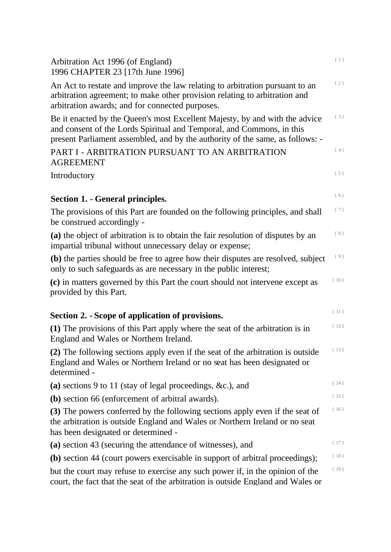| Arbitration Act 1996 (of England)<br>1996 CHAPTER 23 [17th June 1996]                                                                                                                                                                 | $\{1\}$ |
|---------------------------------------------------------------------------------------------------------------------------------------------------------------------------------------------------------------------------------------|---------|
| An Act to restate and improve the law relating to arbitration pursuant to an<br>arbitration agreement; to make other provision relating to arbitration and<br>arbitration awards; and for connected purposes.                         | ${2}$   |
| Be it enacted by the Queen's most Excellent Majesty, by and with the advice<br>and consent of the Lords Spiritual and Temporal, and Commons, in this<br>present Parliament assembled, and by the authority of the same, as follows: - | $\{3\}$ |
| PART I - ARBITRATION PURSUANT TO AN ARBITRATION<br><b>AGREEMENT</b>                                                                                                                                                                   | $\{4\}$ |
| Introductory                                                                                                                                                                                                                          | $\{5\}$ |
| Section 1. - General principles.                                                                                                                                                                                                      | ${6}$   |
| The provisions of this Part are founded on the following principles, and shall<br>be construed accordingly -                                                                                                                          | ${7}$   |
| (a) the object of arbitration is to obtain the fair resolution of disputes by an<br>impartial tribunal without unnecessary delay or expense;                                                                                          | $\{8\}$ |
| (b) the parties should be free to agree how their disputes are resolved, subject<br>only to such safeguards as are necessary in the public interest;                                                                                  | $\{9\}$ |
| (c) in matters governed by this Part the court should not intervene except as<br>provided by this Part.                                                                                                                               | ${10}$  |
| Section 2. - Scope of application of provisions.                                                                                                                                                                                      | ${11}$  |
| (1) The provisions of this Part apply where the seat of the arbitration is in<br>England and Wales or Northern Ireland.                                                                                                               | ${12}$  |
| (2) The following sections apply even if the seat of the arbitration is outside<br>England and Wales or Northern Ireland or no seat has been designated or<br>determined -                                                            | ${13}$  |
| (a) sections 9 to 11 (stay of legal proceedings, &c.), and                                                                                                                                                                            | ${14}$  |
| (b) section 66 (enforcement of arbitral awards).                                                                                                                                                                                      | ${15}$  |
| (3) The powers conferred by the following sections apply even if the seat of<br>the arbitration is outside England and Wales or Northern Ireland or no seat<br>has been designated or determined -                                    | ${16}$  |
| (a) section 43 (securing the attendance of witnesses), and                                                                                                                                                                            | ${17}$  |
| <b>(b)</b> section 44 (court powers exercisable in support of arbitral proceedings);                                                                                                                                                  | ${18}$  |
| but the court may refuse to exercise any such power if, in the opinion of the<br>court, the fact that the seat of the arbitration is outside England and Wales or                                                                     | ${19}$  |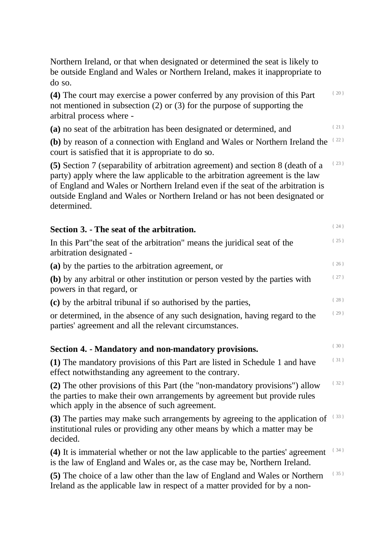Northern Ireland, or that when designated or determined the seat is likely to be outside England and Wales or Northern Ireland, makes it inappropriate to do so.

| (4) The court may exercise a power conferred by any provision of this Part   | $20$ } |
|------------------------------------------------------------------------------|--------|
| not mentioned in subsection $(2)$ or $(3)$ for the purpose of supporting the |        |
| arbitral process where -                                                     |        |

| (a) no seat of the arbitration has been designated or determined, and               | $\{21\}$ |
|-------------------------------------------------------------------------------------|----------|
| (b) by reason of a connection with England and Wales or Northern Ireland the $(22)$ |          |
| court is satisfied that it is appropriate to do so.                                 |          |

**(5)** Section 7 (separability of arbitration agreement) and section 8 (death of a party) apply where the law applicable to the arbitration agreement is the law of England and Wales or Northern Ireland even if the seat of the arbitration is outside England and Wales or Northern Ireland or has not been designated or determined. { 23 }

| Section 3. - The seat of the arbitration.                                                                                                                                                                  | ${24}$   |
|------------------------------------------------------------------------------------------------------------------------------------------------------------------------------------------------------------|----------|
| In this Part" the seat of the arbitration" means the juridical seat of the<br>arbitration designated -                                                                                                     | ${25}$   |
| (a) by the parties to the arbitration agreement, or                                                                                                                                                        | ${26}$   |
| (b) by any arbitral or other institution or person vested by the parties with<br>powers in that regard, or                                                                                                 | ${27}$   |
| (c) by the arbitral tribunal if so authorised by the parties,                                                                                                                                              | ${28}$   |
| or determined, in the absence of any such designation, having regard to the<br>parties' agreement and all the relevant circumstances.                                                                      | ${29}$   |
| Section 4. - Mandatory and non-mandatory provisions.                                                                                                                                                       | ${30}$   |
| (1) The mandatory provisions of this Part are listed in Schedule 1 and have<br>effect notwithstanding any agreement to the contrary.                                                                       | $\{31\}$ |
| (2) The other provisions of this Part (the "non-mandatory provisions") allow<br>the parties to make their own arrangements by agreement but provide rules<br>which apply in the absence of such agreement. | ${32}$   |
| (3) The parties may make such arrangements by agreeing to the application of<br>institutional rules or providing any other means by which a matter may be<br>decided.                                      | ${33}$   |
| (4) It is immaterial whether or not the law applicable to the parties' agreement<br>is the law of England and Wales or, as the case may be, Northern Ireland.                                              | ${34}$   |

**(5)** The choice of a law other than the law of England and Wales or Northern Ireland as the applicable law in respect of a matter provided for by a non- { 35 }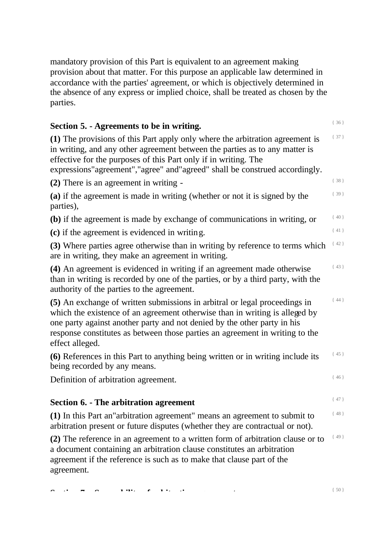mandatory provision of this Part is equivalent to an agreement making provision about that matter. For this purpose an applicable law determined in accordance with the parties' agreement, or which is objectively determined in the absence of any express or implied choice, shall be treated as chosen by the parties.

| Section 5. - Agreements to be in writing.                                                                                                                                                                                                                                                                                                | ${36}$       |
|------------------------------------------------------------------------------------------------------------------------------------------------------------------------------------------------------------------------------------------------------------------------------------------------------------------------------------------|--------------|
| (1) The provisions of this Part apply only where the arbitration agreement is<br>in writing, and any other agreement between the parties as to any matter is<br>effective for the purposes of this Part only if in writing. The<br>expressions"agreement","agree" and"agreed" shall be construed accordingly.                            | ${37}$       |
| (2) There is an agreement in writing -                                                                                                                                                                                                                                                                                                   | $\{$ 38 $\}$ |
| (a) if the agreement is made in writing (whether or not it is signed by the<br>parties),                                                                                                                                                                                                                                                 | ${39}$       |
| (b) if the agreement is made by exchange of communications in writing, or                                                                                                                                                                                                                                                                | ${40}$       |
| (c) if the agreement is evidenced in writing.                                                                                                                                                                                                                                                                                            | ${41}$       |
| (3) Where parties agree otherwise than in writing by reference to terms which<br>are in writing, they make an agreement in writing.                                                                                                                                                                                                      | ${42}$       |
| (4) An agreement is evidenced in writing if an agreement made otherwise<br>than in writing is recorded by one of the parties, or by a third party, with the<br>authority of the parties to the agreement.                                                                                                                                | ${43}$       |
| (5) An exchange of written submissions in arbitral or legal proceedings in<br>which the existence of an agreement otherwise than in writing is alleged by<br>one party against another party and not denied by the other party in his<br>response constitutes as between those parties an agreement in writing to the<br>effect alleged. | ${44}$       |
| (6) References in this Part to anything being written or in writing include its<br>being recorded by any means.                                                                                                                                                                                                                          | ${45}$       |
| Definition of arbitration agreement.                                                                                                                                                                                                                                                                                                     | ${46}$       |
| <b>Section 6. - The arbitration agreement</b>                                                                                                                                                                                                                                                                                            | ${47}$       |
| (1) In this Part an"arbitration agreement" means an agreement to submit to<br>arbitration present or future disputes (whether they are contractual or not).                                                                                                                                                                              | ${48}$       |
| (2) The reference in an agreement to a written form of arbitration clause or to<br>a document containing an arbitration clause constitutes an arbitration<br>agreement if the reference is such as to make that clause part of the<br>agreement.                                                                                         | ${49}$       |

 $\mathbf{S} = \mathbf{S}$  **Section 7. - Separability of a region 3.**  $\{50\}$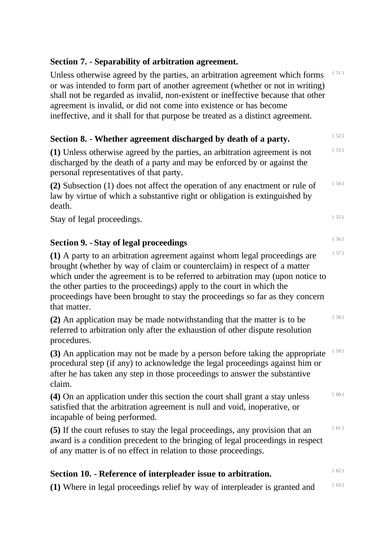## **Section 7. - Separability of arbitration agreement.**

Unless otherwise agreed by the parties, an arbitration agreement which forms or was intended to form part of another agreement (whether or not in writing) shall not be regarded as invalid, non-existent or ineffective because that other agreement is invalid, or did not come into existence or has become ineffective, and it shall for that purpose be treated as a distinct agreement. { 51 } **Section 8. - Whether agreement discharged by death of a party.** { <sup>52</sup> } **(1)** Unless otherwise agreed by the parties, an arbitration agreement is not discharged by the death of a party and may be enforced by or against the personal representatives of that party. { 53 } **(2)** Subsection (1) does not affect the operation of any enactment or rule of law by virtue of which a substantive right or obligation is extinguished by death. { 54 } Stay of legal proceedings.  $(55)$ **Section 9. - Stay of legal proceedings** { <sup>56</sup> } **(1)** A party to an arbitration agreement against whom legal proceedings are brought (whether by way of claim or counterclaim) in respect of a matter which under the agreement is to be referred to arbitration may (upon notice to the other parties to the proceedings) apply to the court in which the proceedings have been brought to stay the proceedings so far as they concern that matter. { 57 } **(2)** An application may be made notwithstanding that the matter is to be referred to arbitration only after the exhaustion of other dispute resolution procedures. { 58 } **(3)** An application may not be made by a person before taking the appropriate procedural step (if any) to acknowledge the legal proceedings against him or after he has taken any step in those proceedings to answer the substantive claim. { 59 } **(4)** On an application under this section the court shall grant a stay unless satisfied that the arbitration agreement is null and void, inoperative, or incapable of being performed.  ${60}$ **(5)** If the court refuses to stay the legal proceedings, any provision that an award is a condition precedent to the bringing of legal proceedings in respect of any matter is of no effect in relation to those proceedings. { 61 } **Section 10. - Reference of interpleader issue to arbitration.** { <sup>62</sup> } **(1)** Where in legal proceedings relief by way of interpleader is granted and  ${^{63}}$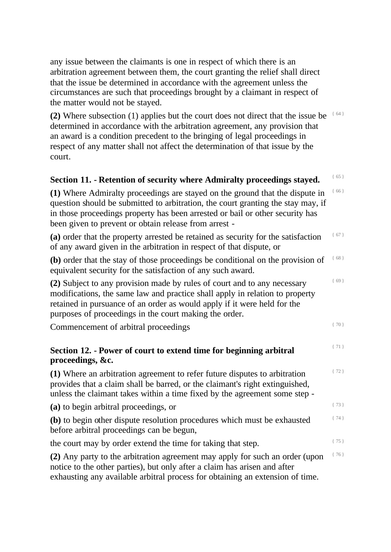any issue between the claimants is one in respect of which there is an arbitration agreement between them, the court granting the relief shall direct that the issue be determined in accordance with the agreement unless the circumstances are such that proceedings brought by a claimant in respect of the matter would not be stayed.

(2) Where subsection (1) applies but the court does not direct that the issue be  $(64)$ determined in accordance with the arbitration agreement, any provision that an award is a condition precedent to the bringing of legal proceedings in respect of any matter shall not affect the determination of that issue by the court.

### **Section 11. - Retention of security where Admiralty proceedings stayed.** { <sup>65</sup> } **(1)** Where Admiralty proceedings are stayed on the ground that the dispute in question should be submitted to arbitration, the court granting the stay may, if in those proceedings property has been arrested or bail or other security has been given to prevent or obtain release from arrest - { 66 } **(a)** order that the property arrested be retained as security for the satisfaction of any award given in the arbitration in respect of that dispute, or { 67 } **(b)** order that the stay of those proceedings be conditional on the provision of equivalent security for the satisfaction of any such award. { 68 } **(2)** Subject to any provision made by rules of court and to any necessary modifications, the same law and practice shall apply in relation to property retained in pursuance of an order as would apply if it were held for the purposes of proceedings in the court making the order.  ${69}$ Commencement of arbitral proceedings  $\{70\}$ **Section 12. - Power of court to extend time for beginning arbitral proceedings, &c.**  { 71 } **(1)** Where an arbitration agreement to refer future disputes to arbitration provides that a claim shall be barred, or the claimant's right extinguished, unless the claimant takes within a time fixed by the agreement some step - { 72 } (a) to begin arbitral proceedings, or **(b)** to begin other dispute resolution procedures which must be exhausted before arbitral proceedings can be begun, { 74 } the court may by order extend the time for taking that step.  $\{75\}$ **(2)** Any party to the arbitration agreement may apply for such an order (upon notice to the other parties), but only after a claim has arisen and after exhausting any available arbitral process for obtaining an extension of time. { 76 }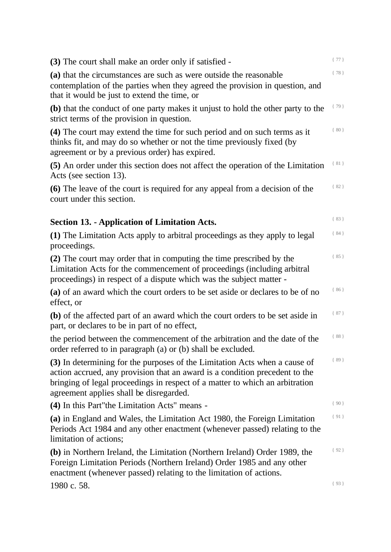| (3) The court shall make an order only if satisfied -                                                                                                                                                                                                                                | ${77}$ |
|--------------------------------------------------------------------------------------------------------------------------------------------------------------------------------------------------------------------------------------------------------------------------------------|--------|
| (a) that the circumstances are such as were outside the reasonable<br>contemplation of the parties when they agreed the provision in question, and<br>that it would be just to extend the time, or                                                                                   | ${78}$ |
| (b) that the conduct of one party makes it unjust to hold the other party to the<br>strict terms of the provision in question.                                                                                                                                                       | ${79}$ |
| (4) The court may extend the time for such period and on such terms as it<br>thinks fit, and may do so whether or not the time previously fixed (by<br>agreement or by a previous order) has expired.                                                                                | ${80}$ |
| (5) An order under this section does not affect the operation of the Limitation<br>Acts (see section 13).                                                                                                                                                                            | ${81}$ |
| (6) The leave of the court is required for any appeal from a decision of the<br>court under this section.                                                                                                                                                                            | ${82}$ |
| <b>Section 13. - Application of Limitation Acts.</b>                                                                                                                                                                                                                                 | ${83}$ |
| (1) The Limitation Acts apply to arbitral proceedings as they apply to legal<br>proceedings.                                                                                                                                                                                         | ${84}$ |
| (2) The court may order that in computing the time prescribed by the<br>Limitation Acts for the commencement of proceedings (including arbitral<br>proceedings) in respect of a dispute which was the subject matter -                                                               | ${85}$ |
| (a) of an award which the court orders to be set aside or declares to be of no<br>effect, or                                                                                                                                                                                         | ${86}$ |
| (b) of the affected part of an award which the court orders to be set aside in<br>part, or declares to be in part of no effect,                                                                                                                                                      | ${87}$ |
| the period between the commencement of the arbitration and the date of the<br>order referred to in paragraph (a) or (b) shall be excluded.                                                                                                                                           | ${88}$ |
| (3) In determining for the purposes of the Limitation Acts when a cause of<br>action accrued, any provision that an award is a condition precedent to the<br>bringing of legal proceedings in respect of a matter to which an arbitration<br>agreement applies shall be disregarded. | ${89}$ |
| (4) In this Part"the Limitation Acts" means -                                                                                                                                                                                                                                        | ${90}$ |
| (a) in England and Wales, the Limitation Act 1980, the Foreign Limitation<br>Periods Act 1984 and any other enactment (whenever passed) relating to the<br>limitation of actions;                                                                                                    | ${91}$ |
| (b) in Northern Ireland, the Limitation (Northern Ireland) Order 1989, the<br>Foreign Limitation Periods (Northern Ireland) Order 1985 and any other<br>enactment (whenever passed) relating to the limitation of actions.                                                           | ${92}$ |
| 1980 c. 58.                                                                                                                                                                                                                                                                          | ${93}$ |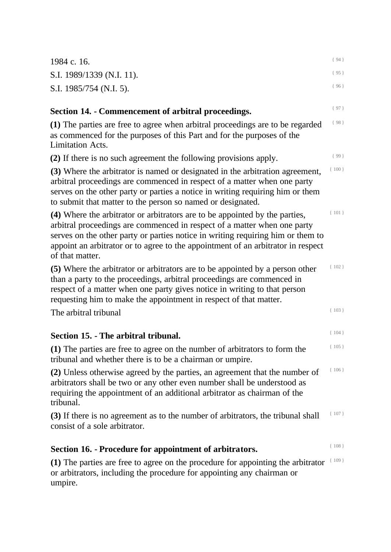| 1984 c. 16.                                                                                                                                                                                                                                                                                                                                       | ${94}$  |
|---------------------------------------------------------------------------------------------------------------------------------------------------------------------------------------------------------------------------------------------------------------------------------------------------------------------------------------------------|---------|
| S.I. 1989/1339 (N.I. 11).                                                                                                                                                                                                                                                                                                                         | ${95}$  |
| S.I. 1985/754 (N.I. 5).                                                                                                                                                                                                                                                                                                                           | ${96}$  |
| Section 14. - Commencement of arbitral proceedings.                                                                                                                                                                                                                                                                                               | ${97}$  |
| (1) The parties are free to agree when arbitral proceedings are to be regarded<br>as commenced for the purposes of this Part and for the purposes of the<br><b>Limitation Acts.</b>                                                                                                                                                               | ${98}$  |
| (2) If there is no such agreement the following provisions apply.                                                                                                                                                                                                                                                                                 | ${99}$  |
| (3) Where the arbitrator is named or designated in the arbitration agreement,<br>arbitral proceedings are commenced in respect of a matter when one party<br>serves on the other party or parties a notice in writing requiring him or them<br>to submit that matter to the person so named or designated.                                        | ${100}$ |
| (4) Where the arbitrator or arbitrators are to be appointed by the parties,<br>arbitral proceedings are commenced in respect of a matter when one party<br>serves on the other party or parties notice in writing requiring him or them to<br>appoint an arbitrator or to agree to the appointment of an arbitrator in respect<br>of that matter. | ${101}$ |
| (5) Where the arbitrator or arbitrators are to be appointed by a person other<br>than a party to the proceedings, arbitral proceedings are commenced in<br>respect of a matter when one party gives notice in writing to that person<br>requesting him to make the appointment in respect of that matter.                                         | ${102}$ |
| The arbitral tribunal                                                                                                                                                                                                                                                                                                                             | ${103}$ |
| Section 15. - The arbitral tribunal.                                                                                                                                                                                                                                                                                                              | ${104}$ |
| (1) The parties are free to agree on the number of arbitrators to form the<br>tribunal and whether there is to be a chairman or umpire.                                                                                                                                                                                                           | ${105}$ |
| (2) Unless otherwise agreed by the parties, an agreement that the number of<br>arbitrators shall be two or any other even number shall be understood as<br>requiring the appointment of an additional arbitrator as chairman of the<br>tribunal.                                                                                                  | ${106}$ |
| (3) If there is no agreement as to the number of arbitrators, the tribunal shall<br>consist of a sole arbitrator.                                                                                                                                                                                                                                 | ${107}$ |
| Section 16. - Procedure for appointment of arbitrators.                                                                                                                                                                                                                                                                                           | ${108}$ |
| (1) The parties are free to agree on the procedure for appointing the arbitrator<br>or arbitrators, including the procedure for appointing any chairman or                                                                                                                                                                                        | ${109}$ |

umpire.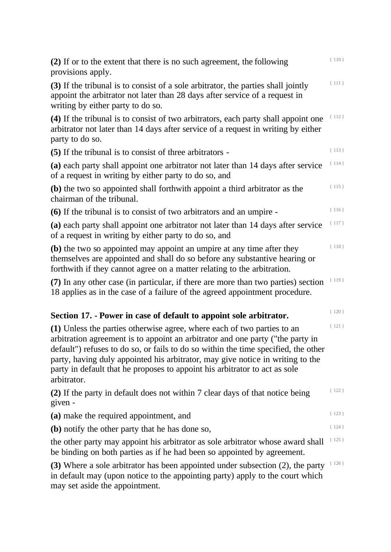| (2) If or to the extent that there is no such agreement, the following<br>provisions apply.                                                                                                                                                                                                                                                                                                                                    | ${110}$ |
|--------------------------------------------------------------------------------------------------------------------------------------------------------------------------------------------------------------------------------------------------------------------------------------------------------------------------------------------------------------------------------------------------------------------------------|---------|
| (3) If the tribunal is to consist of a sole arbitrator, the parties shall jointly<br>appoint the arbitrator not later than 28 days after service of a request in<br>writing by either party to do so.                                                                                                                                                                                                                          | ${111}$ |
| (4) If the tribunal is to consist of two arbitrators, each party shall appoint one<br>arbitrator not later than 14 days after service of a request in writing by either<br>party to do so.                                                                                                                                                                                                                                     | ${112}$ |
| (5) If the tribunal is to consist of three arbitrators -                                                                                                                                                                                                                                                                                                                                                                       | ${113}$ |
| (a) each party shall appoint one arbitrator not later than 14 days after service<br>of a request in writing by either party to do so, and                                                                                                                                                                                                                                                                                      | ${114}$ |
| (b) the two so appointed shall forthwith appoint a third arbitrator as the<br>chairman of the tribunal.                                                                                                                                                                                                                                                                                                                        | ${115}$ |
| (6) If the tribunal is to consist of two arbitrators and an umpire -                                                                                                                                                                                                                                                                                                                                                           | ${116}$ |
| (a) each party shall appoint one arbitrator not later than 14 days after service<br>of a request in writing by either party to do so, and                                                                                                                                                                                                                                                                                      | ${117}$ |
| (b) the two so appointed may appoint an umpire at any time after they<br>themselves are appointed and shall do so before any substantive hearing or<br>forthwith if they cannot agree on a matter relating to the arbitration.                                                                                                                                                                                                 | ${118}$ |
| (7) In any other case (in particular, if there are more than two parties) section<br>18 applies as in the case of a failure of the agreed appointment procedure.                                                                                                                                                                                                                                                               | ${119}$ |
| Section 17. - Power in case of default to appoint sole arbitrator.                                                                                                                                                                                                                                                                                                                                                             | ${120}$ |
| (1) Unless the parties otherwise agree, where each of two parties to an<br>arbitration agreement is to appoint an arbitrator and one party ("the party in<br>default") refuses to do so, or fails to do so within the time specified, the other<br>party, having duly appointed his arbitrator, may give notice in writing to the<br>party in default that he proposes to appoint his arbitrator to act as sole<br>arbitrator. | ${121}$ |
| (2) If the party in default does not within 7 clear days of that notice being<br>given -                                                                                                                                                                                                                                                                                                                                       | ${122}$ |
| (a) make the required appointment, and                                                                                                                                                                                                                                                                                                                                                                                         | ${123}$ |
| <b>(b)</b> notify the other party that he has done so,                                                                                                                                                                                                                                                                                                                                                                         | ${124}$ |
| the other party may appoint his arbitrator as sole arbitrator whose award shall<br>be binding on both parties as if he had been so appointed by agreement.                                                                                                                                                                                                                                                                     | ${125}$ |
| (3) Where a sole arbitrator has been appointed under subsection (2), the party<br>in default may (upon notice to the appointing party) apply to the court which<br>may set aside the appointment.                                                                                                                                                                                                                              | ${126}$ |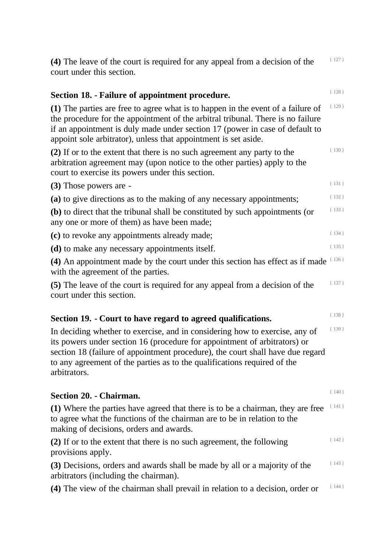| (4) The leave of the court is required for any appeal from a decision of the<br>court under this section.                                                                                                                                                                                                                              | ${127}$ |
|----------------------------------------------------------------------------------------------------------------------------------------------------------------------------------------------------------------------------------------------------------------------------------------------------------------------------------------|---------|
| Section 18. - Failure of appointment procedure.                                                                                                                                                                                                                                                                                        | ${128}$ |
| (1) The parties are free to agree what is to happen in the event of a failure of<br>the procedure for the appointment of the arbitral tribunal. There is no failure<br>if an appointment is duly made under section 17 (power in case of default to<br>appoint sole arbitrator), unless that appointment is set aside.                 | ${129}$ |
| (2) If or to the extent that there is no such agreement any party to the<br>arbitration agreement may (upon notice to the other parties) apply to the<br>court to exercise its powers under this section.                                                                                                                              | ${130}$ |
| (3) Those powers are -                                                                                                                                                                                                                                                                                                                 | ${131}$ |
| (a) to give directions as to the making of any necessary appointments;                                                                                                                                                                                                                                                                 | ${132}$ |
| (b) to direct that the tribunal shall be constituted by such appointments (or<br>any one or more of them) as have been made;                                                                                                                                                                                                           | ${133}$ |
| (c) to revoke any appointments already made;                                                                                                                                                                                                                                                                                           | ${134}$ |
| (d) to make any necessary appointments itself.                                                                                                                                                                                                                                                                                         | ${135}$ |
| (4) An appointment made by the court under this section has effect as if made<br>with the agreement of the parties.                                                                                                                                                                                                                    | ${136}$ |
| (5) The leave of the court is required for any appeal from a decision of the<br>court under this section.                                                                                                                                                                                                                              | ${137}$ |
| Section 19. - Court to have regard to agreed qualifications.                                                                                                                                                                                                                                                                           | ${138}$ |
| In deciding whether to exercise, and in considering how to exercise, any of<br>its powers under section 16 (procedure for appointment of arbitrators) or<br>section 18 (failure of appointment procedure), the court shall have due regard<br>to any agreement of the parties as to the qualifications required of the<br>arbitrators. | ${139}$ |
| Section 20. - Chairman.                                                                                                                                                                                                                                                                                                                | ${140}$ |
| (1) Where the parties have agreed that there is to be a chairman, they are free<br>to agree what the functions of the chairman are to be in relation to the<br>making of decisions, orders and awards.                                                                                                                                 | ${141}$ |
| (2) If or to the extent that there is no such agreement, the following<br>provisions apply.                                                                                                                                                                                                                                            | ${142}$ |
| (3) Decisions, orders and awards shall be made by all or a majority of the<br>arbitrators (including the chairman).                                                                                                                                                                                                                    | ${143}$ |
| (4) The view of the chairman shall prevail in relation to a decision, order or                                                                                                                                                                                                                                                         | ${144}$ |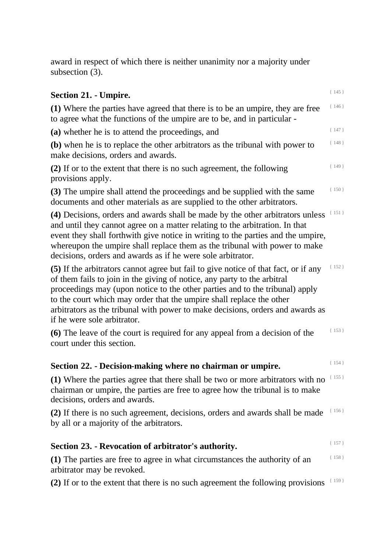award in respect of which there is neither unanimity nor a majority under subsection (3).

| Section 21. - Umpire.                                                                                                                                                                                                                                                                                                                                                                                                                    | ${145}$ |
|------------------------------------------------------------------------------------------------------------------------------------------------------------------------------------------------------------------------------------------------------------------------------------------------------------------------------------------------------------------------------------------------------------------------------------------|---------|
| (1) Where the parties have agreed that there is to be an umpire, they are free<br>to agree what the functions of the umpire are to be, and in particular -                                                                                                                                                                                                                                                                               | ${146}$ |
| (a) whether he is to attend the proceedings, and                                                                                                                                                                                                                                                                                                                                                                                         | ${147}$ |
| (b) when he is to replace the other arbitrators as the tribunal with power to<br>make decisions, orders and awards.                                                                                                                                                                                                                                                                                                                      | ${148}$ |
| (2) If or to the extent that there is no such agreement, the following<br>provisions apply.                                                                                                                                                                                                                                                                                                                                              | ${149}$ |
| (3) The umpire shall attend the proceedings and be supplied with the same<br>documents and other materials as are supplied to the other arbitrators.                                                                                                                                                                                                                                                                                     | ${150}$ |
| (4) Decisions, orders and awards shall be made by the other arbitrators unless<br>and until they cannot agree on a matter relating to the arbitration. In that<br>event they shall forthwith give notice in writing to the parties and the umpire,<br>whereupon the umpire shall replace them as the tribunal with power to make<br>decisions, orders and awards as if he were sole arbitrator.                                          | ${151}$ |
| (5) If the arbitrators cannot agree but fail to give notice of that fact, or if any<br>of them fails to join in the giving of notice, any party to the arbitral<br>proceedings may (upon notice to the other parties and to the tribunal) apply<br>to the court which may order that the umpire shall replace the other<br>arbitrators as the tribunal with power to make decisions, orders and awards as<br>if he were sole arbitrator. | ${152}$ |
| (6) The leave of the court is required for any appeal from a decision of the<br>court under this section.                                                                                                                                                                                                                                                                                                                                | ${153}$ |
| Section 22. - Decision-making where no chairman or umpire.                                                                                                                                                                                                                                                                                                                                                                               | ${154}$ |
| (1) Where the parties agree that there shall be two or more arbitrators with no<br>chairman or umpire, the parties are free to agree how the tribunal is to make<br>decisions, orders and awards.                                                                                                                                                                                                                                        | ${155}$ |
| (2) If there is no such agreement, decisions, orders and awards shall be made<br>by all or a majority of the arbitrators.                                                                                                                                                                                                                                                                                                                | ${156}$ |
| Section 23. - Revocation of arbitrator's authority.                                                                                                                                                                                                                                                                                                                                                                                      | ${157}$ |
| (1) The parties are free to agree in what circumstances the authority of an<br>arbitrator may be revoked.                                                                                                                                                                                                                                                                                                                                | ${158}$ |
| (2) If or to the extent that there is no such agreement the following provisions                                                                                                                                                                                                                                                                                                                                                         | ${159}$ |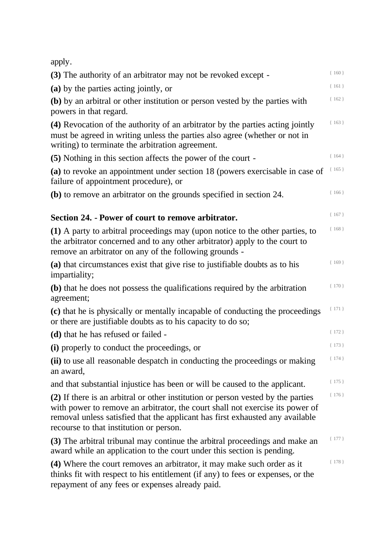apply.

| (3) The authority of an arbitrator may not be revoked except -                                                                                                                                                                                                                                | ${160}$ |
|-----------------------------------------------------------------------------------------------------------------------------------------------------------------------------------------------------------------------------------------------------------------------------------------------|---------|
| (a) by the parties acting jointly, or                                                                                                                                                                                                                                                         | ${161}$ |
| (b) by an arbitral or other institution or person vested by the parties with<br>powers in that regard.                                                                                                                                                                                        | ${162}$ |
| (4) Revocation of the authority of an arbitrator by the parties acting jointly<br>must be agreed in writing unless the parties also agree (whether or not in<br>writing) to terminate the arbitration agreement.                                                                              | ${163}$ |
| (5) Nothing in this section affects the power of the court -                                                                                                                                                                                                                                  | ${164}$ |
| (a) to revoke an appointment under section 18 (powers exercisable in case of<br>failure of appointment procedure), or                                                                                                                                                                         | ${165}$ |
| (b) to remove an arbitrator on the grounds specified in section 24.                                                                                                                                                                                                                           | ${166}$ |
| Section 24. - Power of court to remove arbitrator.                                                                                                                                                                                                                                            | ${167}$ |
| (1) A party to arbitral proceedings may (upon notice to the other parties, to<br>the arbitrator concerned and to any other arbitrator) apply to the court to<br>remove an arbitrator on any of the following grounds -                                                                        | ${168}$ |
| (a) that circumstances exist that give rise to justifiable doubts as to his<br>impartiality;                                                                                                                                                                                                  | ${169}$ |
| (b) that he does not possess the qualifications required by the arbitration<br>agreement;                                                                                                                                                                                                     | ${170}$ |
| (c) that he is physically or mentally incapable of conducting the proceedings<br>or there are justifiable doubts as to his capacity to do so;                                                                                                                                                 | ${171}$ |
| (d) that he has refused or failed -                                                                                                                                                                                                                                                           | ${172}$ |
| (i) properly to conduct the proceedings, or                                                                                                                                                                                                                                                   | ${173}$ |
| (ii) to use all reasonable despatch in conducting the proceedings or making<br>an award,                                                                                                                                                                                                      | ${174}$ |
| and that substantial injustice has been or will be caused to the applicant.                                                                                                                                                                                                                   | ${175}$ |
| (2) If there is an arbitral or other institution or person vested by the parties<br>with power to remove an arbitrator, the court shall not exercise its power of<br>removal unless satisfied that the applicant has first exhausted any available<br>recourse to that institution or person. | ${176}$ |
| (3) The arbitral tribunal may continue the arbitral proceedings and make an<br>award while an application to the court under this section is pending.                                                                                                                                         | ${177}$ |
| (4) Where the court removes an arbitrator, it may make such order as it<br>thinks fit with respect to his entitlement (if any) to fees or expenses, or the<br>repayment of any fees or expenses already paid.                                                                                 | ${178}$ |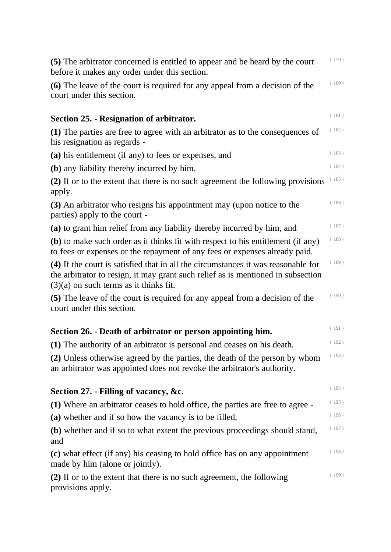| (5) The arbitrator concerned is entitled to appear and be heard by the court<br>before it makes any order under this section.                                                                                     | ${179}$ |
|-------------------------------------------------------------------------------------------------------------------------------------------------------------------------------------------------------------------|---------|
| (6) The leave of the court is required for any appeal from a decision of the<br>court under this section.                                                                                                         | ${180}$ |
| Section 25. - Resignation of arbitrator.                                                                                                                                                                          | ${181}$ |
| (1) The parties are free to agree with an arbitrator as to the consequences of<br>his resignation as regards -                                                                                                    | ${182}$ |
| (a) his entitlement (if any) to fees or expenses, and                                                                                                                                                             | ${183}$ |
| (b) any liability thereby incurred by him.                                                                                                                                                                        | ${184}$ |
| (2) If or to the extent that there is no such agreement the following provisions<br>apply.                                                                                                                        | ${185}$ |
| (3) An arbitrator who resigns his appointment may (upon notice to the<br>parties) apply to the court -                                                                                                            | ${186}$ |
| (a) to grant him relief from any liability thereby incurred by him, and                                                                                                                                           | ${187}$ |
| (b) to make such order as it thinks fit with respect to his entitlement (if any)<br>to fees or expenses or the repayment of any fees or expenses already paid.                                                    | ${188}$ |
| (4) If the court is satisfied that in all the circumstances it was reasonable for<br>the arbitrator to resign, it may grant such relief as is mentioned in subsection<br>$(3)(a)$ on such terms as it thinks fit. | ${189}$ |
| (5) The leave of the court is required for any appeal from a decision of the<br>court under this section.                                                                                                         | ${190}$ |
| Section 26. - Death of arbitrator or person appointing him.                                                                                                                                                       | ${191}$ |
| (1) The authority of an arbitrator is personal and ceases on his death.                                                                                                                                           | ${192}$ |
| (2) Unless otherwise agreed by the parties, the death of the person by whom<br>an arbitrator was appointed does not revoke the arbitrator's authority.                                                            | ${193}$ |
| Section 27. - Filling of vacancy, &c.                                                                                                                                                                             | ${194}$ |
| (1) Where an arbitrator ceases to hold office, the parties are free to agree -                                                                                                                                    | ${195}$ |
| (a) whether and if so how the vacancy is to be filled,                                                                                                                                                            | ${196}$ |
| (b) whether and if so to what extent the previous proceedings should stand,<br>and                                                                                                                                | ${197}$ |
| (c) what effect (if any) his ceasing to hold office has on any appointment<br>made by him (alone or jointly).                                                                                                     | ${198}$ |
| (2) If or to the extent that there is no such agreement, the following<br>provisions apply.                                                                                                                       | ${199}$ |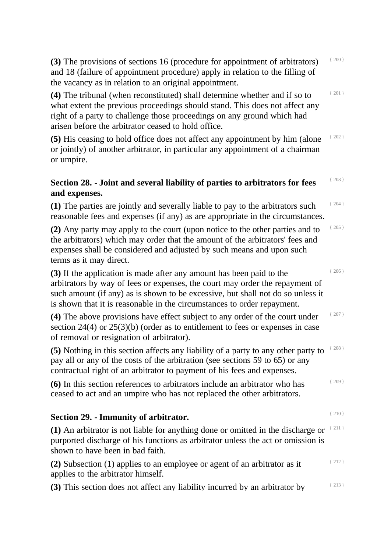| (3) The provisions of sections 16 (procedure for appointment of arbitrators)<br>and 18 (failure of appointment procedure) apply in relation to the filling of<br>the vacancy as in relation to an original appointment.                                                                                            | ${200}$ |
|--------------------------------------------------------------------------------------------------------------------------------------------------------------------------------------------------------------------------------------------------------------------------------------------------------------------|---------|
| (4) The tribunal (when reconstituted) shall determine whether and if so to<br>what extent the previous proceedings should stand. This does not affect any<br>right of a party to challenge those proceedings on any ground which had<br>arisen before the arbitrator ceased to hold office.                        | ${201}$ |
| (5) His ceasing to hold office does not affect any appointment by him (alone<br>or jointly) of another arbitrator, in particular any appointment of a chairman<br>or umpire.                                                                                                                                       | ${202}$ |
| Section 28. - Joint and several liability of parties to arbitrators for fees<br>and expenses.                                                                                                                                                                                                                      | ${203}$ |
| (1) The parties are jointly and severally liable to pay to the arbitrators such<br>reasonable fees and expenses (if any) as are appropriate in the circumstances.                                                                                                                                                  | ${204}$ |
| (2) Any party may apply to the court (upon notice to the other parties and to<br>the arbitrators) which may order that the amount of the arbitrators' fees and<br>expenses shall be considered and adjusted by such means and upon such<br>terms as it may direct.                                                 | ${205}$ |
| (3) If the application is made after any amount has been paid to the<br>arbitrators by way of fees or expenses, the court may order the repayment of<br>such amount (if any) as is shown to be excessive, but shall not do so unless it<br>is shown that it is reasonable in the circumstances to order repayment. | ${206}$ |
| (4) The above provisions have effect subject to any order of the court under<br>section 24(4) or $25(3)(b)$ (order as to entitlement to fees or expenses in case<br>of removal or resignation of arbitrator).                                                                                                      | ${207}$ |
| (5) Nothing in this section affects any liability of a party to any other party to $\frac{1208}{1208}$<br>pay all or any of the costs of the arbitration (see sections 59 to 65) or any<br>contractual right of an arbitrator to payment of his fees and expenses.                                                 |         |
| (6) In this section references to arbitrators include an arbitrator who has<br>ceased to act and an umpire who has not replaced the other arbitrators.                                                                                                                                                             | ${209}$ |
| Section 29. - Immunity of arbitrator.                                                                                                                                                                                                                                                                              | ${210}$ |
| (1) An arbitrator is not liable for anything done or omitted in the discharge or<br>purported discharge of his functions as arbitrator unless the act or omission is<br>shown to have been in bad faith.                                                                                                           | ${211}$ |
| (2) Subsection (1) applies to an employee or agent of an arbitrator as it<br>applies to the arbitrator himself.                                                                                                                                                                                                    | ${212}$ |
| (3) This section does not affect any liability incurred by an arbitrator by                                                                                                                                                                                                                                        | ${213}$ |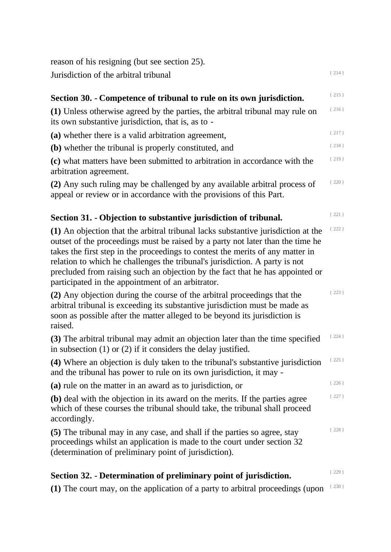| reason of his resigning (but see section 25).                                                                                                                                                                                                                                                                                                                                                                                                                              |         |
|----------------------------------------------------------------------------------------------------------------------------------------------------------------------------------------------------------------------------------------------------------------------------------------------------------------------------------------------------------------------------------------------------------------------------------------------------------------------------|---------|
| Jurisdiction of the arbitral tribunal                                                                                                                                                                                                                                                                                                                                                                                                                                      | ${214}$ |
| Section 30. - Competence of tribunal to rule on its own jurisdiction.                                                                                                                                                                                                                                                                                                                                                                                                      | ${215}$ |
| (1) Unless otherwise agreed by the parties, the arbitral tribunal may rule on<br>its own substantive jurisdiction, that is, as to -                                                                                                                                                                                                                                                                                                                                        | ${216}$ |
| (a) whether there is a valid arbitration agreement,                                                                                                                                                                                                                                                                                                                                                                                                                        | ${217}$ |
| (b) whether the tribunal is properly constituted, and                                                                                                                                                                                                                                                                                                                                                                                                                      | ${218}$ |
| (c) what matters have been submitted to arbitration in accordance with the<br>arbitration agreement.                                                                                                                                                                                                                                                                                                                                                                       | ${219}$ |
| (2) Any such ruling may be challenged by any available arbitral process of<br>appeal or review or in accordance with the provisions of this Part.                                                                                                                                                                                                                                                                                                                          | ${220}$ |
| Section 31. - Objection to substantive jurisdiction of tribunal.                                                                                                                                                                                                                                                                                                                                                                                                           | ${221}$ |
| (1) An objection that the arbitral tribunal lacks substantive jurisdiction at the<br>outset of the proceedings must be raised by a party not later than the time he<br>takes the first step in the proceedings to contest the merits of any matter in<br>relation to which he challenges the tribunal's jurisdiction. A party is not<br>precluded from raising such an objection by the fact that he has appointed or<br>participated in the appointment of an arbitrator. | ${222}$ |
| (2) Any objection during the course of the arbitral proceedings that the<br>arbitral tribunal is exceeding its substantive jurisdiction must be made as<br>soon as possible after the matter alleged to be beyond its jurisdiction is<br>raised.                                                                                                                                                                                                                           | ${223}$ |
| (3) The arbitral tribunal may admit an objection later than the time specified<br>in subsection $(1)$ or $(2)$ if it considers the delay justified.                                                                                                                                                                                                                                                                                                                        | ${224}$ |
| (4) Where an objection is duly taken to the tribunal's substantive jurisdiction<br>and the tribunal has power to rule on its own jurisdiction, it may -                                                                                                                                                                                                                                                                                                                    | ${225}$ |
| (a) rule on the matter in an award as to jurisdiction, or                                                                                                                                                                                                                                                                                                                                                                                                                  | ${226}$ |
| (b) deal with the objection in its award on the merits. If the parties agree<br>which of these courses the tribunal should take, the tribunal shall proceed<br>accordingly.                                                                                                                                                                                                                                                                                                | ${227}$ |
| (5) The tribunal may in any case, and shall if the parties so agree, stay<br>proceedings whilst an application is made to the court under section 32<br>(determination of preliminary point of jurisdiction).                                                                                                                                                                                                                                                              | ${228}$ |
| Section 32. - Determination of preliminary point of jurisdiction.                                                                                                                                                                                                                                                                                                                                                                                                          | ${229}$ |

**(1)** The court may, on the application of a party to arbitral proceedings (upon  $(230)$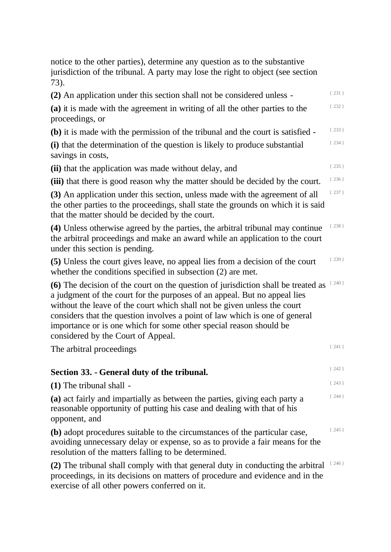| notice to the other parties), determine any question as to the substantive<br>jurisdiction of the tribunal. A party may lose the right to object (see section<br>73).                                                                                                                                                                                                                                                                 |         |
|---------------------------------------------------------------------------------------------------------------------------------------------------------------------------------------------------------------------------------------------------------------------------------------------------------------------------------------------------------------------------------------------------------------------------------------|---------|
| (2) An application under this section shall not be considered unless -                                                                                                                                                                                                                                                                                                                                                                | ${231}$ |
| (a) it is made with the agreement in writing of all the other parties to the<br>proceedings, or                                                                                                                                                                                                                                                                                                                                       | ${232}$ |
| (b) it is made with the permission of the tribunal and the court is satisfied -                                                                                                                                                                                                                                                                                                                                                       | ${233}$ |
| (i) that the determination of the question is likely to produce substantial<br>savings in costs,                                                                                                                                                                                                                                                                                                                                      | ${234}$ |
| (ii) that the application was made without delay, and                                                                                                                                                                                                                                                                                                                                                                                 | ${235}$ |
| (iii) that there is good reason why the matter should be decided by the court.                                                                                                                                                                                                                                                                                                                                                        | ${236}$ |
| (3) An application under this section, unless made with the agreement of all<br>the other parties to the proceedings, shall state the grounds on which it is said<br>that the matter should be decided by the court.                                                                                                                                                                                                                  | ${237}$ |
| (4) Unless otherwise agreed by the parties, the arbitral tribunal may continue<br>the arbitral proceedings and make an award while an application to the court<br>under this section is pending.                                                                                                                                                                                                                                      | ${238}$ |
| (5) Unless the court gives leave, no appeal lies from a decision of the court<br>whether the conditions specified in subsection $(2)$ are met.                                                                                                                                                                                                                                                                                        | ${239}$ |
| (6) The decision of the court on the question of jurisdiction shall be treated as<br>a judgment of the court for the purposes of an appeal. But no appeal lies<br>without the leave of the court which shall not be given unless the court<br>considers that the question involves a point of law which is one of general<br>importance or is one which for some other special reason should be<br>considered by the Court of Appeal. | ${240}$ |
| The arbitral proceedings                                                                                                                                                                                                                                                                                                                                                                                                              | ${241}$ |
| Section 33. - General duty of the tribunal.                                                                                                                                                                                                                                                                                                                                                                                           | ${242}$ |
| (1) The tribunal shall -                                                                                                                                                                                                                                                                                                                                                                                                              | ${243}$ |
| (a) act fairly and impartially as between the parties, giving each party a<br>reasonable opportunity of putting his case and dealing with that of his<br>opponent, and                                                                                                                                                                                                                                                                | ${244}$ |
| (b) adopt procedures suitable to the circumstances of the particular case,<br>avoiding unnecessary delay or expense, so as to provide a fair means for the<br>resolution of the matters falling to be determined.                                                                                                                                                                                                                     | ${245}$ |
| (2) The tribunal shall comply with that general duty in conducting the arbitral<br>proceedings, in its decisions on matters of procedure and evidence and in the                                                                                                                                                                                                                                                                      | ${246}$ |

exercise of all other powers conferred on it.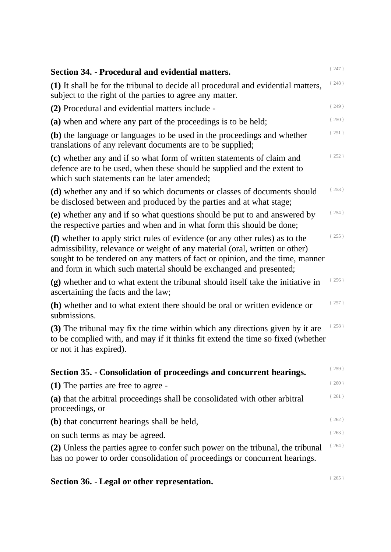| Section 34. - Procedural and evidential matters.                                                                                                                                                                                                                                                                   | ${247}$   |
|--------------------------------------------------------------------------------------------------------------------------------------------------------------------------------------------------------------------------------------------------------------------------------------------------------------------|-----------|
| (1) It shall be for the tribunal to decide all procedural and evidential matters,<br>subject to the right of the parties to agree any matter.                                                                                                                                                                      | ${248}$   |
| (2) Procedural and evidential matters include -                                                                                                                                                                                                                                                                    | ${249}$   |
| (a) when and where any part of the proceedings is to be held;                                                                                                                                                                                                                                                      | ${250}$   |
| (b) the language or languages to be used in the proceedings and whether<br>translations of any relevant documents are to be supplied;                                                                                                                                                                              | ${251}$   |
| (c) whether any and if so what form of written statements of claim and<br>defence are to be used, when these should be supplied and the extent to<br>which such statements can be later amended;                                                                                                                   | ${252}$   |
| (d) whether any and if so which documents or classes of documents should<br>be disclosed between and produced by the parties and at what stage;                                                                                                                                                                    | ${253}$   |
| (e) whether any and if so what questions should be put to and answered by<br>the respective parties and when and in what form this should be done;                                                                                                                                                                 | ${254}$   |
| (f) whether to apply strict rules of evidence (or any other rules) as to the<br>admissibility, relevance or weight of any material (oral, written or other)<br>sought to be tendered on any matters of fact or opinion, and the time, manner<br>and form in which such material should be exchanged and presented; | ${255}$   |
| (g) whether and to what extent the tribunal should itself take the initiative in<br>ascertaining the facts and the law;                                                                                                                                                                                            | ${256}$   |
| (h) whether and to what extent there should be oral or written evidence or<br>submissions.                                                                                                                                                                                                                         | ${257}$   |
| (3) The tribunal may fix the time within which any directions given by it are<br>to be complied with, and may if it thinks fit extend the time so fixed (whether<br>or not it has expired).                                                                                                                        | ${258}$   |
| Section 35. - Consolidation of proceedings and concurrent hearings.                                                                                                                                                                                                                                                | ${259}$   |
| (1) The parties are free to agree -                                                                                                                                                                                                                                                                                | ${260}$   |
| (a) that the arbitral proceedings shall be consolidated with other arbitral<br>proceedings, or                                                                                                                                                                                                                     | $\{261\}$ |
| (b) that concurrent hearings shall be held,                                                                                                                                                                                                                                                                        | ${262}$   |
| on such terms as may be agreed.                                                                                                                                                                                                                                                                                    | ${263}$   |
| (2) Unless the parties agree to confer such power on the tribunal, the tribunal<br>has no power to order consolidation of proceedings or concurrent hearings.                                                                                                                                                      | ${264}$   |

**Section 36. - Legal or other representation.**  ${265}$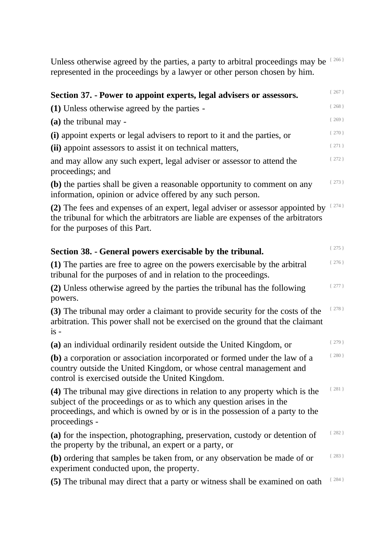Unless otherwise agreed by the parties, a party to arbitral proceedings may be represented in the proceedings by a lawyer or other person chosen by him. { 266 }

| Section 37. - Power to appoint experts, legal advisers or assessors.                                                                                                                                                                                   | ${267}$ |
|--------------------------------------------------------------------------------------------------------------------------------------------------------------------------------------------------------------------------------------------------------|---------|
| (1) Unless otherwise agreed by the parties -                                                                                                                                                                                                           | ${268}$ |
| (a) the tribunal may -                                                                                                                                                                                                                                 | ${269}$ |
| (i) appoint experts or legal advisers to report to it and the parties, or                                                                                                                                                                              | ${270}$ |
| (ii) appoint assessors to assist it on technical matters,                                                                                                                                                                                              | ${271}$ |
| and may allow any such expert, legal adviser or assessor to attend the<br>proceedings; and                                                                                                                                                             | ${272}$ |
| (b) the parties shall be given a reasonable opportunity to comment on any<br>information, opinion or advice offered by any such person.                                                                                                                | ${273}$ |
| (2) The fees and expenses of an expert, legal adviser or assessor appointed by<br>the tribunal for which the arbitrators are liable are expenses of the arbitrators<br>for the purposes of this Part.                                                  | ${274}$ |
| Section 38. - General powers exercisable by the tribunal.                                                                                                                                                                                              | ${275}$ |
| (1) The parties are free to agree on the powers exercisable by the arbitral<br>tribunal for the purposes of and in relation to the proceedings.                                                                                                        | ${276}$ |
| (2) Unless otherwise agreed by the parties the tribunal has the following<br>powers.                                                                                                                                                                   | ${277}$ |
| (3) The tribunal may order a claimant to provide security for the costs of the<br>arbitration. This power shall not be exercised on the ground that the claimant<br>$is -$                                                                             | ${278}$ |
| (a) an individual ordinarily resident outside the United Kingdom, or                                                                                                                                                                                   | ${279}$ |
| (b) a corporation or association incorporated or formed under the law of a<br>country outside the United Kingdom, or whose central management and<br>control is exercised outside the United Kingdom.                                                  | ${280}$ |
| (4) The tribunal may give directions in relation to any property which is the<br>subject of the proceedings or as to which any question arises in the<br>proceedings, and which is owned by or is in the possession of a party to the<br>proceedings - | ${281}$ |
| (a) for the inspection, photographing, preservation, custody or detention of<br>the property by the tribunal, an expert or a party, or                                                                                                                 | ${282}$ |
| (b) ordering that samples be taken from, or any observation be made of or<br>experiment conducted upon, the property.                                                                                                                                  | ${283}$ |
| (5) The tribunal may direct that a party or witness shall be examined on oath                                                                                                                                                                          | ${284}$ |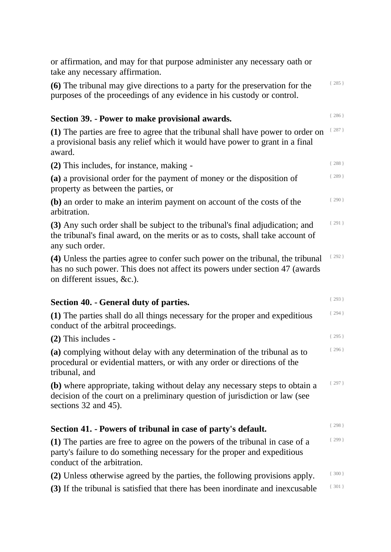| or affirmation, and may for that purpose administer any necessary oath or<br>take any necessary affirmation.                                                                                 |           |
|----------------------------------------------------------------------------------------------------------------------------------------------------------------------------------------------|-----------|
| (6) The tribunal may give directions to a party for the preservation for the<br>purposes of the proceedings of any evidence in his custody or control.                                       | ${285}$   |
| Section 39. - Power to make provisional awards.                                                                                                                                              | ${286}$   |
| (1) The parties are free to agree that the tribunal shall have power to order on<br>a provisional basis any relief which it would have power to grant in a final<br>award.                   | ${287}$   |
| (2) This includes, for instance, making -                                                                                                                                                    | ${288}$   |
| (a) a provisional order for the payment of money or the disposition of<br>property as between the parties, or                                                                                | ${289}$   |
| (b) an order to make an interim payment on account of the costs of the<br>arbitration.                                                                                                       | ${290}$   |
| (3) Any such order shall be subject to the tribunal's final adjudication; and<br>the tribunal's final award, on the merits or as to costs, shall take account of<br>any such order.          | ${291}$   |
| (4) Unless the parties agree to confer such power on the tribunal, the tribunal<br>has no such power. This does not affect its powers under section 47 (awards<br>on different issues, &c.). | ${292}$   |
| Section 40. - General duty of parties.                                                                                                                                                       | ${293}$   |
| (1) The parties shall do all things necessary for the proper and expeditious<br>conduct of the arbitral proceedings.                                                                         | ${294}$   |
| $(2)$ This includes -                                                                                                                                                                        | ${295}$   |
| (a) complying without delay with any determination of the tribunal as to<br>procedural or evidential matters, or with any order or directions of the<br>tribunal, and                        | $\{296\}$ |
| (b) where appropriate, taking without delay any necessary steps to obtain a<br>decision of the court on a preliminary question of jurisdiction or law (see<br>sections 32 and 45).           | ${297}$   |
| Section 41. - Powers of tribunal in case of party's default.                                                                                                                                 | ${298}$   |
| (1) The parties are free to agree on the powers of the tribunal in case of a<br>party's failure to do something necessary for the proper and expeditious<br>conduct of the arbitration.      | ${299}$   |
| (2) Unless otherwise agreed by the parties, the following provisions apply.                                                                                                                  | ${300}$   |
| (3) If the tribunal is satisfied that there has been inordinate and inexcusable                                                                                                              | ${301}$   |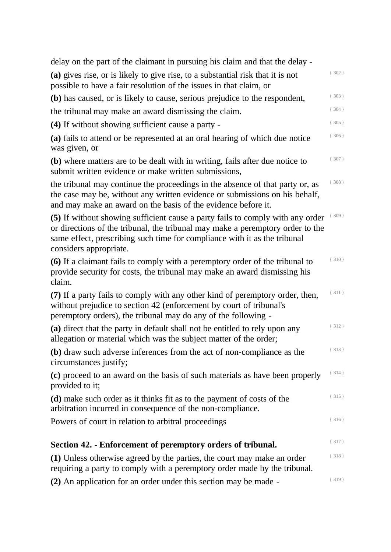| delay on the part of the claimant in pursuing his claim and that the delay -                                                                                                                                                                                            |           |
|-------------------------------------------------------------------------------------------------------------------------------------------------------------------------------------------------------------------------------------------------------------------------|-----------|
| (a) gives rise, or is likely to give rise, to a substantial risk that it is not<br>possible to have a fair resolution of the issues in that claim, or                                                                                                                   | ${302}$   |
| (b) has caused, or is likely to cause, serious prejudice to the respondent,                                                                                                                                                                                             | ${303}$   |
| the tribunal may make an award dismissing the claim.                                                                                                                                                                                                                    | ${304}$   |
| (4) If without showing sufficient cause a party -                                                                                                                                                                                                                       | ${305}$   |
| (a) fails to attend or be represented at an oral hearing of which due notice<br>was given, or                                                                                                                                                                           | ${306}$   |
| (b) where matters are to be dealt with in writing, fails after due notice to<br>submit written evidence or make written submissions,                                                                                                                                    | ${307}$   |
| the tribunal may continue the proceedings in the absence of that party or, as<br>the case may be, without any written evidence or submissions on his behalf,<br>and may make an award on the basis of the evidence before it.                                           | ${308}$   |
| (5) If without showing sufficient cause a party fails to comply with any order<br>or directions of the tribunal, the tribunal may make a peremptory order to the<br>same effect, prescribing such time for compliance with it as the tribunal<br>considers appropriate. | ${309}$   |
| (6) If a claimant fails to comply with a peremptory order of the tribunal to<br>provide security for costs, the tribunal may make an award dismissing his<br>claim.                                                                                                     | ${310}$   |
| (7) If a party fails to comply with any other kind of peremptory order, then,<br>without prejudice to section 42 (enforcement by court of tribunal's<br>peremptory orders), the tribunal may do any of the following -                                                  | ${311}$   |
| (a) direct that the party in default shall not be entitled to rely upon any<br>allegation or material which was the subject matter of the order;                                                                                                                        | ${312}$   |
| (b) draw such adverse inferences from the act of non-compliance as the<br>circumstances justify;                                                                                                                                                                        | $\{313\}$ |
| (c) proceed to an award on the basis of such materials as have been properly<br>provided to it;                                                                                                                                                                         | ${314}$   |
| (d) make such order as it thinks fit as to the payment of costs of the<br>arbitration incurred in consequence of the non-compliance.                                                                                                                                    | ${315}$   |
| Powers of court in relation to arbitral proceedings                                                                                                                                                                                                                     | ${316}$   |
| Section 42. - Enforcement of peremptory orders of tribunal.                                                                                                                                                                                                             | ${317}$   |
| (1) Unless otherwise agreed by the parties, the court may make an order<br>requiring a party to comply with a peremptory order made by the tribunal.                                                                                                                    | ${318}$   |
| (2) An application for an order under this section may be made -                                                                                                                                                                                                        | ${319}$   |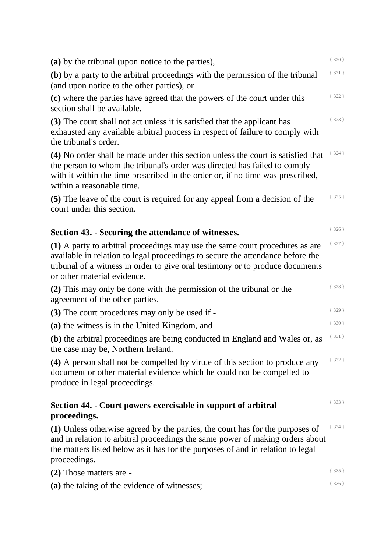| (a) by the tribunal (upon notice to the parties),                                                                                                                                                                                                                              | ${320}$ |
|--------------------------------------------------------------------------------------------------------------------------------------------------------------------------------------------------------------------------------------------------------------------------------|---------|
| (b) by a party to the arbitral proceedings with the permission of the tribunal<br>(and upon notice to the other parties), or                                                                                                                                                   | ${321}$ |
| (c) where the parties have agreed that the powers of the court under this<br>section shall be available.                                                                                                                                                                       | ${322}$ |
| (3) The court shall not act unless it is satisfied that the applicant has<br>exhausted any available arbitral process in respect of failure to comply with<br>the tribunal's order.                                                                                            | ${323}$ |
| (4) No order shall be made under this section unless the court is satisfied that<br>the person to whom the tribunal's order was directed has failed to comply<br>with it within the time prescribed in the order or, if no time was prescribed,<br>within a reasonable time.   | ${324}$ |
| (5) The leave of the court is required for any appeal from a decision of the<br>court under this section.                                                                                                                                                                      | ${325}$ |
| Section 43. - Securing the attendance of witnesses.                                                                                                                                                                                                                            | ${326}$ |
| (1) A party to arbitral proceedings may use the same court procedures as are<br>available in relation to legal proceedings to secure the attendance before the<br>tribunal of a witness in order to give oral testimony or to produce documents<br>or other material evidence. | ${327}$ |
| (2) This may only be done with the permission of the tribunal or the<br>agreement of the other parties.                                                                                                                                                                        | ${328}$ |
| (3) The court procedures may only be used if -                                                                                                                                                                                                                                 | ${329}$ |
| (a) the witness is in the United Kingdom, and                                                                                                                                                                                                                                  | ${330}$ |
| (b) the arbitral proceedings are being conducted in England and Wales or, as<br>the case may be, Northern Ireland.                                                                                                                                                             | ${331}$ |
| (4) A person shall not be compelled by virtue of this section to produce any<br>document or other material evidence which he could not be compelled to<br>produce in legal proceedings.                                                                                        | ${332}$ |
| Section 44. - Court powers exercisable in support of arbitral<br>proceedings.                                                                                                                                                                                                  | ${333}$ |
| (1) Unless otherwise agreed by the parties, the court has for the purposes of<br>and in relation to arbitral proceedings the same power of making orders about<br>the matters listed below as it has for the purposes of and in relation to legal<br>proceedings.              | ${334}$ |
| (2) Those matters are -                                                                                                                                                                                                                                                        | ${335}$ |
| (a) the taking of the evidence of witnesses;                                                                                                                                                                                                                                   | ${336}$ |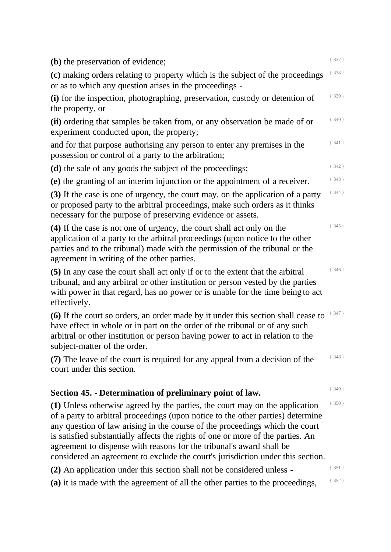| (b) the preservation of evidence;                                                                                                                                                                                                                                                                                                                                                                                                                                                             | ${337}$ |
|-----------------------------------------------------------------------------------------------------------------------------------------------------------------------------------------------------------------------------------------------------------------------------------------------------------------------------------------------------------------------------------------------------------------------------------------------------------------------------------------------|---------|
| (c) making orders relating to property which is the subject of the proceedings<br>or as to which any question arises in the proceedings -                                                                                                                                                                                                                                                                                                                                                     | ${338}$ |
| (i) for the inspection, photographing, preservation, custody or detention of<br>the property, or                                                                                                                                                                                                                                                                                                                                                                                              | ${339}$ |
| (ii) ordering that samples be taken from, or any observation be made of or<br>experiment conducted upon, the property;                                                                                                                                                                                                                                                                                                                                                                        | ${340}$ |
| and for that purpose authorising any person to enter any premises in the<br>possession or control of a party to the arbitration;                                                                                                                                                                                                                                                                                                                                                              | ${341}$ |
| (d) the sale of any goods the subject of the proceedings;                                                                                                                                                                                                                                                                                                                                                                                                                                     | ${342}$ |
| (e) the granting of an interim injunction or the appointment of a receiver.                                                                                                                                                                                                                                                                                                                                                                                                                   | ${343}$ |
| (3) If the case is one of urgency, the court may, on the application of a party<br>or proposed party to the arbitral proceedings, make such orders as it thinks<br>necessary for the purpose of preserving evidence or assets.                                                                                                                                                                                                                                                                | ${344}$ |
| (4) If the case is not one of urgency, the court shall act only on the<br>application of a party to the arbitral proceedings (upon notice to the other<br>parties and to the tribunal) made with the permission of the tribunal or the<br>agreement in writing of the other parties.                                                                                                                                                                                                          | ${345}$ |
| (5) In any case the court shall act only if or to the extent that the arbitral<br>tribunal, and any arbitral or other institution or person vested by the parties<br>with power in that regard, has no power or is unable for the time being to act<br>effectively.                                                                                                                                                                                                                           | ${346}$ |
| (6) If the court so orders, an order made by it under this section shall cease to<br>have effect in whole or in part on the order of the tribunal or of any such<br>arbitral or other institution or person having power to act in relation to the<br>subject-matter of the order.                                                                                                                                                                                                            | ${347}$ |
| (7) The leave of the court is required for any appeal from a decision of the<br>court under this section.                                                                                                                                                                                                                                                                                                                                                                                     | ${348}$ |
| Section 45. - Determination of preliminary point of law.                                                                                                                                                                                                                                                                                                                                                                                                                                      | ${349}$ |
| (1) Unless otherwise agreed by the parties, the court may on the application<br>of a party to arbitral proceedings (upon notice to the other parties) determine<br>any question of law arising in the course of the proceedings which the court<br>is satisfied substantially affects the rights of one or more of the parties. An<br>agreement to dispense with reasons for the tribunal's award shall be<br>considered an agreement to exclude the court's jurisdiction under this section. | ${350}$ |
| (2) An application under this section shall not be considered unless -                                                                                                                                                                                                                                                                                                                                                                                                                        | ${351}$ |
| (a) it is made with the agreement of all the other parties to the proceedings,                                                                                                                                                                                                                                                                                                                                                                                                                | ${352}$ |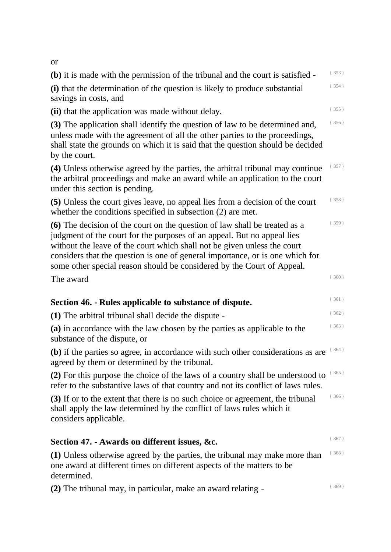or **(b)** it is made with the permission of the tribunal and the court is satisfied - { 353 } **(i)** that the determination of the question is likely to produce substantial savings in costs, and { 354 } **(ii)** that the application was made without delay. **(3)** The application shall identify the question of law to be determined and, unless made with the agreement of all the other parties to the proceedings, shall state the grounds on which it is said that the question should be decided by the court. { 356 } **(4)** Unless otherwise agreed by the parties, the arbitral tribunal may continue the arbitral proceedings and make an award while an application to the court under this section is pending. { 357 } **(5)** Unless the court gives leave, no appeal lies from a decision of the court whether the conditions specified in subsection (2) are met. { 358 } **(6)** The decision of the court on the question of law shall be treated as a judgment of the court for the purposes of an appeal. But no appeal lies without the leave of the court which shall not be given unless the court considers that the question is one of general importance, or is one which for some other special reason should be considered by the Court of Appeal. { 359 } The award  $\{360\}$ **Section 46. - Rules applicable to substance of dispute.**  ${^{361}}$ **(1)** The arbitral tribunal shall decide the dispute - { 362 } **(a)** in accordance with the law chosen by the parties as applicable to the substance of the dispute, or { 363 } (b) if the parties so agree, in accordance with such other considerations as are  $\{364\}$ agreed by them or determined by the tribunal. (2) For this purpose the choice of the laws of a country shall be understood to  $\{365\}$ refer to the substantive laws of that country and not its conflict of laws rules. **(3)** If or to the extent that there is no such choice or agreement, the tribunal shall apply the law determined by the conflict of laws rules which it considers applicable. { 366 } **Section 47. - Awards on different issues, &c.**  $\frac{1367}{ }$ **(1)** Unless otherwise agreed by the parties, the tribunal may make more than one award at different times on different aspects of the matters to be determined. { 368 } **(2)** The tribunal may, in particular, make an award relating - { 369 }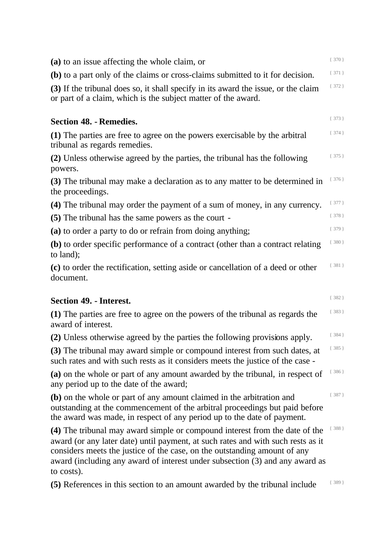| (a) to an issue affecting the whole claim, or                                                                                                                                                                                                                                                                                              | ${370}$ |
|--------------------------------------------------------------------------------------------------------------------------------------------------------------------------------------------------------------------------------------------------------------------------------------------------------------------------------------------|---------|
| (b) to a part only of the claims or cross-claims submitted to it for decision.                                                                                                                                                                                                                                                             | ${371}$ |
| (3) If the tribunal does so, it shall specify in its award the issue, or the claim<br>or part of a claim, which is the subject matter of the award.                                                                                                                                                                                        | ${372}$ |
| <b>Section 48. - Remedies.</b>                                                                                                                                                                                                                                                                                                             | ${373}$ |
| (1) The parties are free to agree on the powers exercisable by the arbitral<br>tribunal as regards remedies.                                                                                                                                                                                                                               | ${374}$ |
| (2) Unless otherwise agreed by the parties, the tribunal has the following<br>powers.                                                                                                                                                                                                                                                      | ${375}$ |
| (3) The tribunal may make a declaration as to any matter to be determined in<br>the proceedings.                                                                                                                                                                                                                                           | ${376}$ |
| (4) The tribunal may order the payment of a sum of money, in any currency.                                                                                                                                                                                                                                                                 | ${377}$ |
| (5) The tribunal has the same powers as the court -                                                                                                                                                                                                                                                                                        | ${378}$ |
| (a) to order a party to do or refrain from doing anything;                                                                                                                                                                                                                                                                                 | ${379}$ |
| (b) to order specific performance of a contract (other than a contract relating<br>to land);                                                                                                                                                                                                                                               | ${380}$ |
| (c) to order the rectification, setting aside or cancellation of a deed or other<br>document.                                                                                                                                                                                                                                              | ${381}$ |
| <b>Section 49. - Interest.</b>                                                                                                                                                                                                                                                                                                             | ${382}$ |
| (1) The parties are free to agree on the powers of the tribunal as regards the<br>award of interest.                                                                                                                                                                                                                                       | ${383}$ |
| (2) Unless otherwise agreed by the parties the following provisions apply.                                                                                                                                                                                                                                                                 | ${384}$ |
| (3) The tribunal may award simple or compound interest from such dates, at<br>such rates and with such rests as it considers meets the justice of the case -                                                                                                                                                                               | ${385}$ |
| (a) on the whole or part of any amount awarded by the tribunal, in respect of<br>any period up to the date of the award;                                                                                                                                                                                                                   | ${386}$ |
| (b) on the whole or part of any amount claimed in the arbitration and<br>outstanding at the commencement of the arbitral proceedings but paid before<br>the award was made, in respect of any period up to the date of payment.                                                                                                            | ${387}$ |
| (4) The tribunal may award simple or compound interest from the date of the<br>award (or any later date) until payment, at such rates and with such rests as it<br>considers meets the justice of the case, on the outstanding amount of any<br>award (including any award of interest under subsection (3) and any award as<br>to costs). | ${388}$ |
| (5) References in this section to an amount awarded by the tribunal include                                                                                                                                                                                                                                                                | ${389}$ |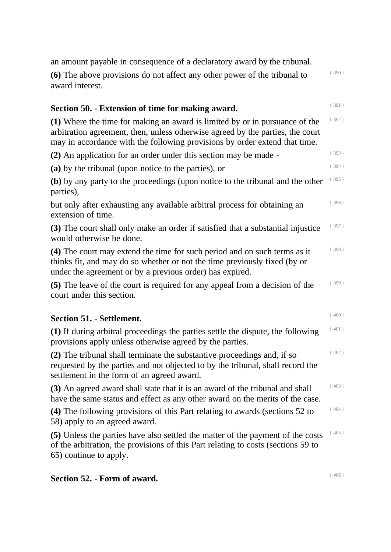| an amount payable in consequence of a declaratory award by the tribunal.                                                                                                                                                                    |         |
|---------------------------------------------------------------------------------------------------------------------------------------------------------------------------------------------------------------------------------------------|---------|
| (6) The above provisions do not affect any other power of the tribunal to<br>award interest.                                                                                                                                                | ${390}$ |
| Section 50. - Extension of time for making award.                                                                                                                                                                                           | ${391}$ |
| (1) Where the time for making an award is limited by or in pursuance of the<br>arbitration agreement, then, unless otherwise agreed by the parties, the court<br>may in accordance with the following provisions by order extend that time. | ${392}$ |
| (2) An application for an order under this section may be made -                                                                                                                                                                            | ${393}$ |
| (a) by the tribunal (upon notice to the parties), or                                                                                                                                                                                        | ${394}$ |
| (b) by any party to the proceedings (upon notice to the tribunal and the other<br>parties),                                                                                                                                                 | ${395}$ |
| but only after exhausting any available arbitral process for obtaining an<br>extension of time.                                                                                                                                             | ${396}$ |
| (3) The court shall only make an order if satisfied that a substantial injustice<br>would otherwise be done.                                                                                                                                | ${397}$ |
| (4) The court may extend the time for such period and on such terms as it<br>thinks fit, and may do so whether or not the time previously fixed (by or<br>under the agreement or by a previous order) has expired.                          | ${398}$ |
| (5) The leave of the court is required for any appeal from a decision of the<br>court under this section.                                                                                                                                   | ${399}$ |
| <b>Section 51. - Settlement.</b>                                                                                                                                                                                                            | ${400}$ |
| (1) If during arbitral proceedings the parties settle the dispute, the following<br>provisions apply unless otherwise agreed by the parties.                                                                                                | ${401}$ |
| (2) The tribunal shall terminate the substantive proceedings and, if so<br>requested by the parties and not objected to by the tribunal, shall record the<br>settlement in the form of an agreed award.                                     | ${402}$ |
| (3) An agreed award shall state that it is an award of the tribunal and shall<br>have the same status and effect as any other award on the merits of the case.                                                                              | ${403}$ |
| (4) The following provisions of this Part relating to awards (sections 52 to<br>58) apply to an agreed award.                                                                                                                               | ${404}$ |
| (5) Unless the parties have also settled the matter of the payment of the costs<br>of the arbitration, the provisions of this Part relating to costs (sections 59 to<br>65) continue to apply.                                              | ${405}$ |

# **Section 52. - Form of award.**  $\left(406\right)$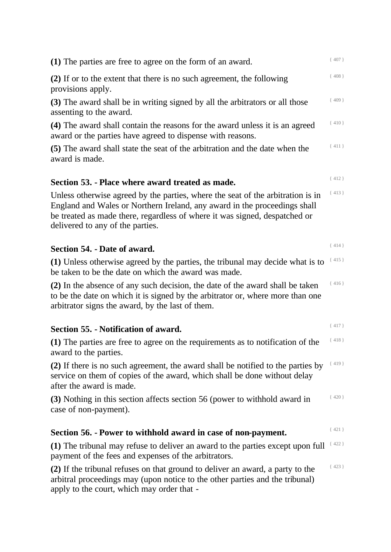| (1) The parties are free to agree on the form of an award.                                                                                                                                                                                                                     | ${407}$   |
|--------------------------------------------------------------------------------------------------------------------------------------------------------------------------------------------------------------------------------------------------------------------------------|-----------|
| (2) If or to the extent that there is no such agreement, the following<br>provisions apply.                                                                                                                                                                                    | ${408}$   |
| (3) The award shall be in writing signed by all the arbitrators or all those<br>assenting to the award.                                                                                                                                                                        | ${409}$   |
| (4) The award shall contain the reasons for the award unless it is an agreed<br>award or the parties have agreed to dispense with reasons.                                                                                                                                     | ${410}$   |
| (5) The award shall state the seat of the arbitration and the date when the<br>award is made.                                                                                                                                                                                  | ${411}$   |
| Section 53. - Place where award treated as made.                                                                                                                                                                                                                               | ${412}$   |
| Unless otherwise agreed by the parties, where the seat of the arbitration is in<br>England and Wales or Northern Ireland, any award in the proceedings shall<br>be treated as made there, regardless of where it was signed, despatched or<br>delivered to any of the parties. | ${413}$   |
| Section 54. - Date of award.                                                                                                                                                                                                                                                   | $\{414\}$ |
| (1) Unless otherwise agreed by the parties, the tribunal may decide what is to<br>be taken to be the date on which the award was made.                                                                                                                                         | ${415}$   |
| (2) In the absence of any such decision, the date of the award shall be taken<br>to be the date on which it is signed by the arbitrator or, where more than one<br>arbitrator signs the award, by the last of them.                                                            | ${416}$   |
| <b>Section 55. - Notification of award.</b>                                                                                                                                                                                                                                    | ${417}$   |
| (1) The parties are free to agree on the requirements as to notification of the<br>award to the parties.                                                                                                                                                                       | ${418}$   |
| (2) If there is no such agreement, the award shall be notified to the parties by<br>service on them of copies of the award, which shall be done without delay<br>after the award is made.                                                                                      | ${419}$   |
| (3) Nothing in this section affects section 56 (power to withhold award in<br>case of non-payment).                                                                                                                                                                            | ${420}$   |
| Section 56. - Power to withhold award in case of non-payment.                                                                                                                                                                                                                  | ${421}$   |
| (1) The tribunal may refuse to deliver an award to the parties except upon full<br>payment of the fees and expenses of the arbitrators.                                                                                                                                        | ${422}$   |
| (2) If the tribunal refuses on that ground to deliver an award, a party to the<br>arbitral proceedings may (upon notice to the other parties and the tribunal)<br>apply to the court, which may order that -                                                                   | ${423}$   |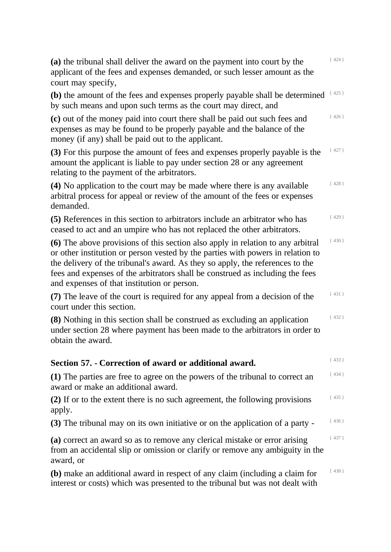| (a) the tribunal shall deliver the award on the payment into court by the<br>applicant of the fees and expenses demanded, or such lesser amount as the<br>court may specify,                                                                                                                                                                                                        | ${424}$         |
|-------------------------------------------------------------------------------------------------------------------------------------------------------------------------------------------------------------------------------------------------------------------------------------------------------------------------------------------------------------------------------------|-----------------|
| (b) the amount of the fees and expenses properly payable shall be determined<br>by such means and upon such terms as the court may direct, and                                                                                                                                                                                                                                      | $425$ }<br>$\{$ |
| (c) out of the money paid into court there shall be paid out such fees and<br>expenses as may be found to be properly payable and the balance of the<br>money (if any) shall be paid out to the applicant.                                                                                                                                                                          | ${426}$         |
| (3) For this purpose the amount of fees and expenses properly payable is the<br>amount the applicant is liable to pay under section 28 or any agreement<br>relating to the payment of the arbitrators.                                                                                                                                                                              | ${427}$         |
| (4) No application to the court may be made where there is any available<br>arbitral process for appeal or review of the amount of the fees or expenses<br>demanded.                                                                                                                                                                                                                | ${428}$         |
| (5) References in this section to arbitrators include an arbitrator who has<br>ceased to act and an umpire who has not replaced the other arbitrators.                                                                                                                                                                                                                              | ${429}$         |
| (6) The above provisions of this section also apply in relation to any arbitral<br>or other institution or person vested by the parties with powers in relation to<br>the delivery of the tribunal's award. As they so apply, the references to the<br>fees and expenses of the arbitrators shall be construed as including the fees<br>and expenses of that institution or person. | ${430}$         |
| (7) The leave of the court is required for any appeal from a decision of the<br>court under this section.                                                                                                                                                                                                                                                                           | ${431}$         |
| (8) Nothing in this section shall be construed as excluding an application<br>under section 28 where payment has been made to the arbitrators in order to<br>obtain the award.                                                                                                                                                                                                      | ${432}$         |
| Section 57. - Correction of award or additional award.                                                                                                                                                                                                                                                                                                                              | ${433}$         |
| (1) The parties are free to agree on the powers of the tribunal to correct an<br>award or make an additional award.                                                                                                                                                                                                                                                                 | ${434}$         |
| (2) If or to the extent there is no such agreement, the following provisions<br>apply.                                                                                                                                                                                                                                                                                              | ${435}$         |
| (3) The tribunal may on its own initiative or on the application of a party -                                                                                                                                                                                                                                                                                                       | ${436}$         |
| (a) correct an award so as to remove any clerical mistake or error arising<br>from an accidental slip or omission or clarify or remove any ambiguity in the<br>award, or                                                                                                                                                                                                            | ${437}$         |
| (b) make an additional award in respect of any claim (including a claim for<br>interest or costs) which was presented to the tribunal but was not dealt with                                                                                                                                                                                                                        | ${438}$         |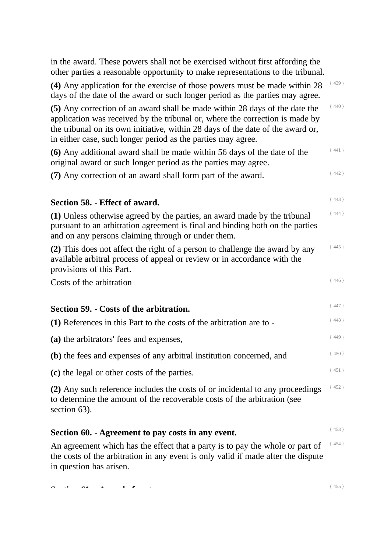| in the award. These powers shall not be exercised without first affording the<br>other parties a reasonable opportunity to make representations to the tribunal.                                                                                                                                               |         |
|----------------------------------------------------------------------------------------------------------------------------------------------------------------------------------------------------------------------------------------------------------------------------------------------------------------|---------|
| (4) Any application for the exercise of those powers must be made within 28<br>days of the date of the award or such longer period as the parties may agree.                                                                                                                                                   | ${439}$ |
| (5) Any correction of an award shall be made within 28 days of the date the<br>application was received by the tribunal or, where the correction is made by<br>the tribunal on its own initiative, within 28 days of the date of the award or,<br>in either case, such longer period as the parties may agree. | ${440}$ |
| (6) Any additional award shall be made within 56 days of the date of the<br>original award or such longer period as the parties may agree.                                                                                                                                                                     | ${441}$ |
| (7) Any correction of an award shall form part of the award.                                                                                                                                                                                                                                                   | ${442}$ |
| Section 58. - Effect of award.                                                                                                                                                                                                                                                                                 | ${443}$ |
| (1) Unless otherwise agreed by the parties, an award made by the tribunal<br>pursuant to an arbitration agreement is final and binding both on the parties<br>and on any persons claiming through or under them.                                                                                               | ${444}$ |
| (2) This does not affect the right of a person to challenge the award by any<br>available arbitral process of appeal or review or in accordance with the<br>provisions of this Part.                                                                                                                           | ${445}$ |
| Costs of the arbitration                                                                                                                                                                                                                                                                                       | ${446}$ |
| Section 59. - Costs of the arbitration.                                                                                                                                                                                                                                                                        | ${447}$ |
| (1) References in this Part to the costs of the arbitration are to -                                                                                                                                                                                                                                           | ${448}$ |
| (a) the arbitrators' fees and expenses,                                                                                                                                                                                                                                                                        | ${449}$ |
| (b) the fees and expenses of any arbitral institution concerned, and                                                                                                                                                                                                                                           | ${450}$ |
| (c) the legal or other costs of the parties.                                                                                                                                                                                                                                                                   | ${451}$ |
| (2) Any such reference includes the costs of or incidental to any proceedings<br>to determine the amount of the recoverable costs of the arbitration (see<br>section 63).                                                                                                                                      | ${452}$ |
| Section 60. - Agreement to pay costs in any event.                                                                                                                                                                                                                                                             | ${453}$ |
| An agreement which has the effect that a party is to pay the whole or part of<br>the costs of the arbitration in any event is only valid if made after the dispute                                                                                                                                             | ${454}$ |

in question has arisen.

**Section 61. - Award of costs.** { <sup>455</sup> }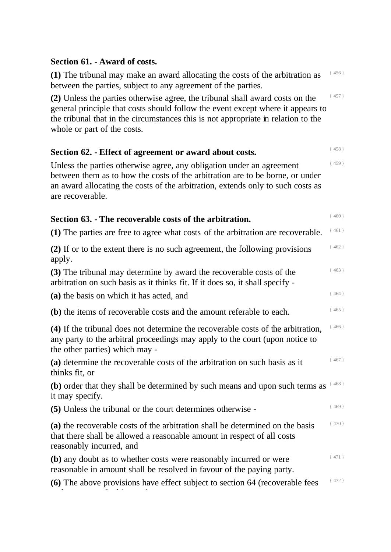## **Section 61. - Award of costs.**

and expenses of arbitrators).

| (1) The tribunal may make an award allocating the costs of the arbitration as<br>between the parties, subject to any agreement of the parties.                                                                                                                                       | ${456}$   |
|--------------------------------------------------------------------------------------------------------------------------------------------------------------------------------------------------------------------------------------------------------------------------------------|-----------|
| (2) Unless the parties otherwise agree, the tribunal shall award costs on the<br>general principle that costs should follow the event except where it appears to<br>the tribunal that in the circumstances this is not appropriate in relation to the<br>whole or part of the costs. | ${457}$   |
| Section 62. - Effect of agreement or award about costs.                                                                                                                                                                                                                              | ${458}$   |
| Unless the parties otherwise agree, any obligation under an agreement<br>between them as to how the costs of the arbitration are to be borne, or under<br>an award allocating the costs of the arbitration, extends only to such costs as<br>are recoverable.                        | ${459}$   |
| Section 63. - The recoverable costs of the arbitration.                                                                                                                                                                                                                              | $\{460\}$ |
| (1) The parties are free to agree what costs of the arbitration are recoverable.                                                                                                                                                                                                     | ${461}$   |
| (2) If or to the extent there is no such agreement, the following provisions<br>apply.                                                                                                                                                                                               | ${462}$   |
| (3) The tribunal may determine by award the recoverable costs of the<br>arbitration on such basis as it thinks fit. If it does so, it shall specify -                                                                                                                                | ${463}$   |
| (a) the basis on which it has acted, and                                                                                                                                                                                                                                             | ${464}$   |
| (b) the items of recoverable costs and the amount referable to each.                                                                                                                                                                                                                 | ${465}$   |
| (4) If the tribunal does not determine the recoverable costs of the arbitration,<br>any party to the arbitral proceedings may apply to the court (upon notice to<br>the other parties) which may -                                                                                   | ${466}$   |
| (a) determine the recoverable costs of the arbitration on such basis as it<br>thinks fit, or                                                                                                                                                                                         | ${467}$   |
| (b) order that they shall be determined by such means and upon such terms as<br>it may specify.                                                                                                                                                                                      | ${468}$   |
| (5) Unless the tribunal or the court determines otherwise -                                                                                                                                                                                                                          | ${469}$   |
| (a) the recoverable costs of the arbitration shall be determined on the basis<br>that there shall be allowed a reasonable amount in respect of all costs<br>reasonably incurred, and                                                                                                 | ${470}$   |
| (b) any doubt as to whether costs were reasonably incurred or were<br>reasonable in amount shall be resolved in favour of the paying party.                                                                                                                                          | ${471}$   |
| (6) The above provisions have effect subject to section 64 (recoverable fees                                                                                                                                                                                                         | ${472}$   |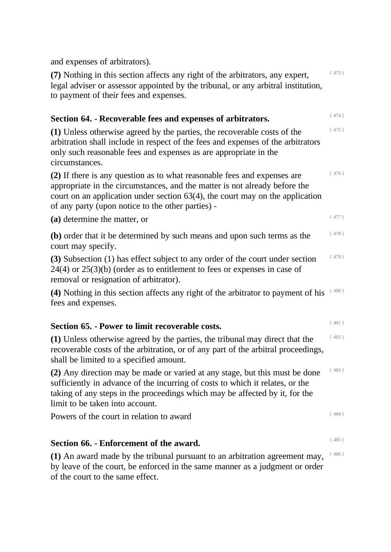and expenses of arbitrators).

**(7)** Nothing in this section affects any right of the arbitrators, any expert, legal adviser or assessor appointed by the tribunal, or any arbitral institution, to payment of their fees and expenses. { 473 }

## **Section 64. - Recoverable fees and expenses of arbitrators.**  $\left\{474\right\}$

**(1)** Unless otherwise agreed by the parties, the recoverable costs of the arbitration shall include in respect of the fees and expenses of the arbitrators only such reasonable fees and expenses as are appropriate in the circumstances. { 475 }

**(2)** If there is any question as to what reasonable fees and expenses are appropriate in the circumstances, and the matter is not already before the court on an application under section 63(4), the court may on the application of any party (upon notice to the other parties) - { 476 }

**(a)** determine the matter, or

**(b)** order that it be determined by such means and upon such terms as the court may specify. { 478 }

**(3)** Subsection (1) has effect subject to any order of the court under section 24(4) or 25(3)(b) (order as to entitlement to fees or expenses in case of removal or resignation of arbitrator). { 479 }

**(4)** Nothing in this section affects any right of the arbitrator to payment of his fees and expenses. { 480 }

## **Section 65. - Power to limit recoverable costs.**

**(1)** Unless otherwise agreed by the parties, the tribunal may direct that the recoverable costs of the arbitration, or of any part of the arbitral proceedings, shall be limited to a specified amount. { 482 }

**(2)** Any direction may be made or varied at any stage, but this must be done sufficiently in advance of the incurring of costs to which it relates, or the taking of any steps in the proceedings which may be affected by it, for the limit to be taken into account. { 483 }

Powers of the court in relation to award  $\left\{ \frac{484}{ } \right\}$ 

# **Section 66. - Enforcement of the award. Section 66. - Enforcement of the award.**

**(1)** An award made by the tribunal pursuant to an arbitration agreement may, by leave of the court, be enforced in the same manner as a judgment or order of the court to the same effect. { 486 }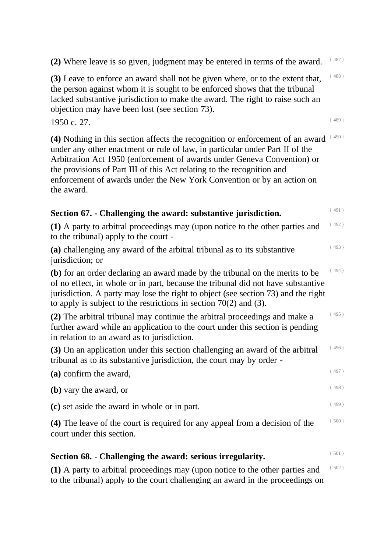| (2) Where leave is so given, judgment may be entered in terms of the award.                                                                                                                                                                                                                                                                                                                                 | ${487}$   |
|-------------------------------------------------------------------------------------------------------------------------------------------------------------------------------------------------------------------------------------------------------------------------------------------------------------------------------------------------------------------------------------------------------------|-----------|
| (3) Leave to enforce an award shall not be given where, or to the extent that,<br>the person against whom it is sought to be enforced shows that the tribunal<br>lacked substantive jurisdiction to make the award. The right to raise such an<br>objection may have been lost (see section 73).                                                                                                            | ${488}$   |
| 1950 c. 27.                                                                                                                                                                                                                                                                                                                                                                                                 | ${489}$   |
| (4) Nothing in this section affects the recognition or enforcement of an award<br>under any other enactment or rule of law, in particular under Part II of the<br>Arbitration Act 1950 (enforcement of awards under Geneva Convention) or<br>the provisions of Part III of this Act relating to the recognition and<br>enforcement of awards under the New York Convention or by an action on<br>the award. | ${490}$   |
| Section 67. - Challenging the award: substantive jurisdiction.                                                                                                                                                                                                                                                                                                                                              | ${491}$   |
| (1) A party to arbitral proceedings may (upon notice to the other parties and<br>to the tribunal) apply to the court -                                                                                                                                                                                                                                                                                      | ${492}$   |
| (a) challenging any award of the arbitral tribunal as to its substantive<br>jurisdiction; or                                                                                                                                                                                                                                                                                                                | ${493}$   |
| (b) for an order declaring an award made by the tribunal on the merits to be<br>of no effect, in whole or in part, because the tribunal did not have substantive<br>jurisdiction. A party may lose the right to object (see section 73) and the right<br>to apply is subject to the restrictions in section $70(2)$ and (3).                                                                                | ${494}$   |
| (2) The arbitral tribunal may continue the arbitral proceedings and make a<br>further award while an application to the court under this section is pending<br>in relation to an award as to jurisdiction.                                                                                                                                                                                                  | ${495}$   |
| (3) On an application under this section challenging an award of the arbitral<br>tribunal as to its substantive jurisdiction, the court may by order -                                                                                                                                                                                                                                                      | $\{496\}$ |
| (a) confirm the award,                                                                                                                                                                                                                                                                                                                                                                                      | ${497}$   |
| (b) vary the award, or                                                                                                                                                                                                                                                                                                                                                                                      | ${498}$   |
| (c) set aside the award in whole or in part.                                                                                                                                                                                                                                                                                                                                                                | ${499}$   |
| (4) The leave of the court is required for any appeal from a decision of the<br>court under this section.                                                                                                                                                                                                                                                                                                   | ${500}$   |
| Section 68. - Challenging the award: serious irregularity.                                                                                                                                                                                                                                                                                                                                                  | ${501}$   |
| (1) A party to arbitral proceedings may (upon notice to the other parties and                                                                                                                                                                                                                                                                                                                               | ${502}$   |

to the tribunal) apply to the court challenging an award in the proceedings on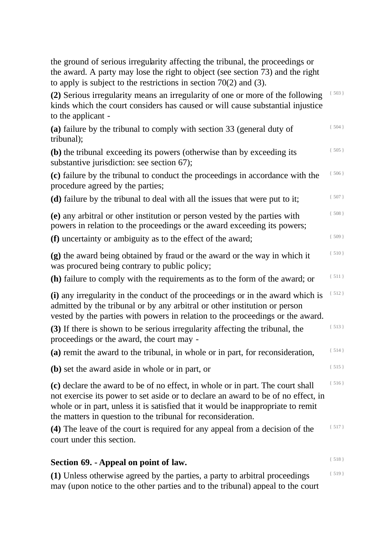| the ground of serious irregularity affecting the tribunal, the proceedings or<br>the award. A party may lose the right to object (see section 73) and the right<br>to apply is subject to the restrictions in section $70(2)$ and (3).                                                                                  |         |
|-------------------------------------------------------------------------------------------------------------------------------------------------------------------------------------------------------------------------------------------------------------------------------------------------------------------------|---------|
| (2) Serious irregularity means an irregularity of one or more of the following<br>kinds which the court considers has caused or will cause substantial injustice<br>to the applicant -                                                                                                                                  | ${503}$ |
| (a) failure by the tribunal to comply with section 33 (general duty of<br>tribunal);                                                                                                                                                                                                                                    | ${504}$ |
| (b) the tribunal exceeding its powers (otherwise than by exceeding its<br>substantive jurisdiction: see section 67);                                                                                                                                                                                                    | ${505}$ |
| (c) failure by the tribunal to conduct the proceedings in accordance with the<br>procedure agreed by the parties;                                                                                                                                                                                                       | ${506}$ |
| (d) failure by the tribunal to deal with all the issues that were put to it;                                                                                                                                                                                                                                            | ${507}$ |
| (e) any arbitral or other institution or person vested by the parties with<br>powers in relation to the proceedings or the award exceeding its powers;                                                                                                                                                                  | ${508}$ |
| (f) uncertainty or ambiguity as to the effect of the award;                                                                                                                                                                                                                                                             | ${509}$ |
| (g) the award being obtained by fraud or the award or the way in which it<br>was procured being contrary to public policy;                                                                                                                                                                                              | ${510}$ |
| (h) failure to comply with the requirements as to the form of the award; or                                                                                                                                                                                                                                             | ${511}$ |
| (i) any irregularity in the conduct of the proceedings or in the award which is<br>admitted by the tribunal or by any arbitral or other institution or person<br>vested by the parties with powers in relation to the proceedings or the award.                                                                         | ${512}$ |
| (3) If there is shown to be serious irregularity affecting the tribunal, the<br>proceedings or the award, the court may -                                                                                                                                                                                               | ${513}$ |
| (a) remit the award to the tribunal, in whole or in part, for reconsideration,                                                                                                                                                                                                                                          | ${514}$ |
| (b) set the award aside in whole or in part, or                                                                                                                                                                                                                                                                         | ${515}$ |
| (c) declare the award to be of no effect, in whole or in part. The court shall<br>not exercise its power to set aside or to declare an award to be of no effect, in<br>whole or in part, unless it is satisfied that it would be inappropriate to remit<br>the matters in question to the tribunal for reconsideration. | ${516}$ |
| (4) The leave of the court is required for any appeal from a decision of the<br>court under this section.                                                                                                                                                                                                               | ${517}$ |
| Section 69. - Appeal on point of law.                                                                                                                                                                                                                                                                                   | ${518}$ |
| (1) Unless otherwise agreed by the parties, a party to arbitral proceedings<br>may (upon notice to the other parties and to the tribunal) appeal to the court                                                                                                                                                           | ${519}$ |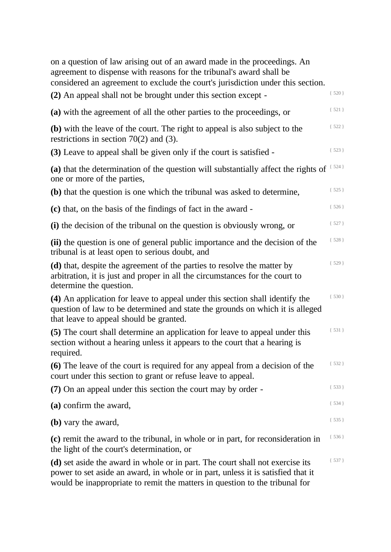| on a question of law arising out of an award made in the proceedings. An<br>agreement to dispense with reasons for the tribunal's award shall be<br>considered an agreement to exclude the court's jurisdiction under this section.              |         |
|--------------------------------------------------------------------------------------------------------------------------------------------------------------------------------------------------------------------------------------------------|---------|
| (2) An appeal shall not be brought under this section except -                                                                                                                                                                                   | ${520}$ |
| (a) with the agreement of all the other parties to the proceedings, or                                                                                                                                                                           | ${521}$ |
| (b) with the leave of the court. The right to appeal is also subject to the<br>restrictions in section $70(2)$ and (3).                                                                                                                          | ${522}$ |
| (3) Leave to appeal shall be given only if the court is satisfied -                                                                                                                                                                              | ${523}$ |
| (a) that the determination of the question will substantially affect the rights of<br>one or more of the parties,                                                                                                                                | ${524}$ |
| (b) that the question is one which the tribunal was asked to determine,                                                                                                                                                                          | ${525}$ |
| (c) that, on the basis of the findings of fact in the award -                                                                                                                                                                                    | ${526}$ |
| (i) the decision of the tribunal on the question is obviously wrong, or                                                                                                                                                                          | ${527}$ |
| (ii) the question is one of general public importance and the decision of the<br>tribunal is at least open to serious doubt, and                                                                                                                 | ${528}$ |
| (d) that, despite the agreement of the parties to resolve the matter by<br>arbitration, it is just and proper in all the circumstances for the court to<br>determine the question.                                                               | ${529}$ |
| (4) An application for leave to appeal under this section shall identify the<br>question of law to be determined and state the grounds on which it is alleged<br>that leave to appeal should be granted.                                         | ${530}$ |
| (5) The court shall determine an application for leave to appeal under this<br>section without a hearing unless it appears to the court that a hearing is<br>required.                                                                           | ${531}$ |
| (6) The leave of the court is required for any appeal from a decision of the<br>court under this section to grant or refuse leave to appeal.                                                                                                     | ${532}$ |
| (7) On an appeal under this section the court may by order -                                                                                                                                                                                     | ${533}$ |
| (a) confirm the award,                                                                                                                                                                                                                           | ${534}$ |
| (b) vary the award,                                                                                                                                                                                                                              | ${535}$ |
| (c) remit the award to the tribunal, in whole or in part, for reconsideration in<br>the light of the court's determination, or                                                                                                                   | ${536}$ |
| (d) set aside the award in whole or in part. The court shall not exercise its<br>power to set aside an award, in whole or in part, unless it is satisfied that it<br>would be inappropriate to remit the matters in question to the tribunal for | ${537}$ |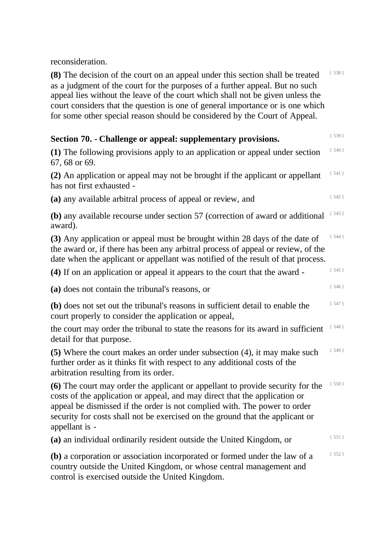reconsideration.

**(8)** The decision of the court on an appeal under this section shall be treated as a judgment of the court for the purposes of a further appeal. But no such appeal lies without the leave of the court which shall not be given unless the court considers that the question is one of general importance or is one which for some other special reason should be considered by the Court of Appeal. { 538 }

| Section 70. - Challenge or appeal: supplementary provisions.                                                                                                                                                                                                                                                                                 | ${539}$   |
|----------------------------------------------------------------------------------------------------------------------------------------------------------------------------------------------------------------------------------------------------------------------------------------------------------------------------------------------|-----------|
| (1) The following provisions apply to an application or appeal under section<br>67, 68 or 69.                                                                                                                                                                                                                                                | ${540}$   |
| (2) An application or appeal may not be brought if the applicant or appellant<br>has not first exhausted -                                                                                                                                                                                                                                   | ${541}$   |
| (a) any available arbitral process of appeal or review, and                                                                                                                                                                                                                                                                                  | ${542}$   |
| (b) any available recourse under section 57 (correction of award or additional<br>award).                                                                                                                                                                                                                                                    | ${543}$   |
| (3) Any application or appeal must be brought within 28 days of the date of<br>the award or, if there has been any arbitral process of appeal or review, of the<br>date when the applicant or appellant was notified of the result of that process.                                                                                          | ${544}$   |
| (4) If on an application or appeal it appears to the court that the award -                                                                                                                                                                                                                                                                  | $\{545\}$ |
| (a) does not contain the tribunal's reasons, or                                                                                                                                                                                                                                                                                              | ${546}$   |
| (b) does not set out the tribunal's reasons in sufficient detail to enable the<br>court properly to consider the application or appeal,                                                                                                                                                                                                      | ${547}$   |
| the court may order the tribunal to state the reasons for its award in sufficient<br>detail for that purpose.                                                                                                                                                                                                                                | ${548}$   |
| (5) Where the court makes an order under subsection (4), it may make such<br>further order as it thinks fit with respect to any additional costs of the<br>arbitration resulting from its order.                                                                                                                                             | ${549}$   |
| (6) The court may order the applicant or appellant to provide security for the<br>costs of the application or appeal, and may direct that the application or<br>appeal be dismissed if the order is not complied with. The power to order<br>security for costs shall not be exercised on the ground that the applicant or<br>appellant is - | ${550}$   |
| (a) an individual ordinarily resident outside the United Kingdom, or                                                                                                                                                                                                                                                                         | ${551}$   |
| (b) a corporation or association incorporated or formed under the law of a<br>country outside the United Kingdom, or whose central management and<br>control is exercised outside the United Kingdom.                                                                                                                                        | ${552}$   |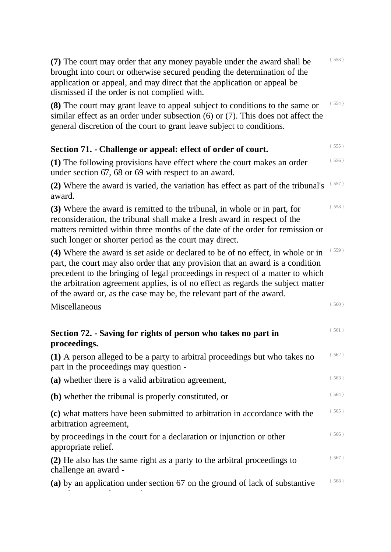| (7) The court may order that any money payable under the award shall be<br>brought into court or otherwise secured pending the determination of the<br>application or appeal, and may direct that the application or appeal be<br>dismissed if the order is not complied with.                                                                                                                                  | ${553}$   |
|-----------------------------------------------------------------------------------------------------------------------------------------------------------------------------------------------------------------------------------------------------------------------------------------------------------------------------------------------------------------------------------------------------------------|-----------|
| (8) The court may grant leave to appeal subject to conditions to the same or<br>similar effect as an order under subsection $(6)$ or $(7)$ . This does not affect the<br>general discretion of the court to grant leave subject to conditions.                                                                                                                                                                  | ${554}$   |
| Section 71. - Challenge or appeal: effect of order of court.                                                                                                                                                                                                                                                                                                                                                    | ${555}$   |
| (1) The following provisions have effect where the court makes an order<br>under section 67, 68 or 69 with respect to an award.                                                                                                                                                                                                                                                                                 | ${556}$   |
| (2) Where the award is varied, the variation has effect as part of the tribunal's<br>award.                                                                                                                                                                                                                                                                                                                     | ${557}$   |
| (3) Where the award is remitted to the tribunal, in whole or in part, for<br>reconsideration, the tribunal shall make a fresh award in respect of the<br>matters remitted within three months of the date of the order for remission or<br>such longer or shorter period as the court may direct.                                                                                                               | ${558}$   |
| (4) Where the award is set aside or declared to be of no effect, in whole or in<br>part, the court may also order that any provision that an award is a condition<br>precedent to the bringing of legal proceedings in respect of a matter to which<br>the arbitration agreement applies, is of no effect as regards the subject matter<br>of the award or, as the case may be, the relevant part of the award. | ${559}$   |
| Miscellaneous                                                                                                                                                                                                                                                                                                                                                                                                   | ${560}$   |
| Section 72. - Saving for rights of person who takes no part in<br>proceedings.                                                                                                                                                                                                                                                                                                                                  | ${561}$   |
| (1) A person alleged to be a party to arbitral proceedings but who takes no<br>part in the proceedings may question -                                                                                                                                                                                                                                                                                           | ${562}$   |
| (a) whether there is a valid arbitration agreement,                                                                                                                                                                                                                                                                                                                                                             | $\{563\}$ |
| (b) whether the tribunal is properly constituted, or                                                                                                                                                                                                                                                                                                                                                            | ${564}$   |
| (c) what matters have been submitted to arbitration in accordance with the<br>arbitration agreement,                                                                                                                                                                                                                                                                                                            | ${565}$   |
| by proceedings in the court for a declaration or injunction or other<br>appropriate relief.                                                                                                                                                                                                                                                                                                                     | ${566}$   |
| (2) He also has the same right as a party to the arbitral proceedings to<br>challenge an award -                                                                                                                                                                                                                                                                                                                | ${567}$   |
| (a) by an application under section 67 on the ground of lack of substantive                                                                                                                                                                                                                                                                                                                                     | ${568}$   |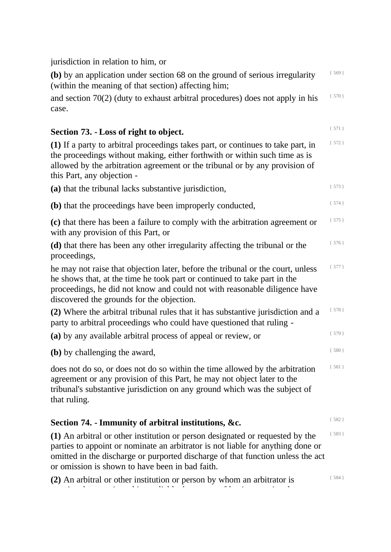jurisdiction in relation to him, or

| (b) by an application under section 68 on the ground of serious irregularity<br>(within the meaning of that section) affecting him;                                                                                                                                                                    | ${569}$ |
|--------------------------------------------------------------------------------------------------------------------------------------------------------------------------------------------------------------------------------------------------------------------------------------------------------|---------|
| and section $70(2)$ (duty to exhaust arbitral procedures) does not apply in his<br>case.                                                                                                                                                                                                               | ${570}$ |
| Section 73. - Loss of right to object.                                                                                                                                                                                                                                                                 | ${571}$ |
| (1) If a party to arbitral proceedings takes part, or continues to take part, in<br>the proceedings without making, either forthwith or within such time as is<br>allowed by the arbitration agreement or the tribunal or by any provision of<br>this Part, any objection -                            | ${572}$ |
| (a) that the tribunal lacks substantive jurisdiction,                                                                                                                                                                                                                                                  | ${573}$ |
| (b) that the proceedings have been improperly conducted,                                                                                                                                                                                                                                               | ${574}$ |
| (c) that there has been a failure to comply with the arbitration agreement or<br>with any provision of this Part, or                                                                                                                                                                                   | ${575}$ |
| (d) that there has been any other irregularity affecting the tribunal or the<br>proceedings,                                                                                                                                                                                                           | ${576}$ |
| he may not raise that objection later, before the tribunal or the court, unless<br>he shows that, at the time he took part or continued to take part in the<br>proceedings, he did not know and could not with reasonable diligence have<br>discovered the grounds for the objection.                  | ${577}$ |
| (2) Where the arbitral tribunal rules that it has substantive jurisdiction and a<br>party to arbitral proceedings who could have questioned that ruling -                                                                                                                                              | ${578}$ |
| (a) by any available arbitral process of appeal or review, or                                                                                                                                                                                                                                          | ${579}$ |
| (b) by challenging the award,                                                                                                                                                                                                                                                                          | ${580}$ |
| does not do so, or does not do so within the time allowed by the arbitration<br>agreement or any provision of this Part, he may not object later to the<br>tribunal's substantive jurisdiction on any ground which was the subject of<br>that ruling.                                                  | ${581}$ |
| Section 74. - Immunity of arbitral institutions, &c.                                                                                                                                                                                                                                                   | ${582}$ |
| (1) An arbitral or other institution or person designated or requested by the<br>parties to appoint or nominate an arbitrator is not liable for anything done or<br>omitted in the discharge or purported discharge of that function unless the act<br>or omission is shown to have been in bad faith. | ${583}$ |

| (2) An arbitral or other institution or person by whom an arbitrator is | ${584}$ |
|-------------------------------------------------------------------------|---------|
|-------------------------------------------------------------------------|---------|

appointed or nominated is not liable, by reason of having appointed or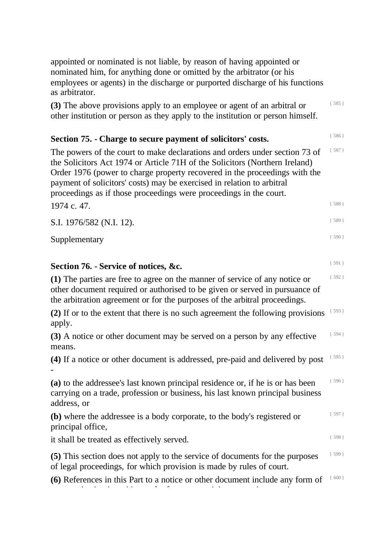| appointed or nominated is not liable, by reason of having appointed or<br>nominated him, for anything done or omitted by the arbitrator (or his<br>employees or agents) in the discharge or purported discharge of his functions<br>as arbitrator.                                                                                                                                       |         |
|------------------------------------------------------------------------------------------------------------------------------------------------------------------------------------------------------------------------------------------------------------------------------------------------------------------------------------------------------------------------------------------|---------|
| (3) The above provisions apply to an employee or agent of an arbitral or<br>other institution or person as they apply to the institution or person himself.                                                                                                                                                                                                                              | ${585}$ |
| Section 75. - Charge to secure payment of solicitors' costs.                                                                                                                                                                                                                                                                                                                             | ${586}$ |
| The powers of the court to make declarations and orders under section 73 of<br>the Solicitors Act 1974 or Article 71H of the Solicitors (Northern Ireland)<br>Order 1976 (power to charge property recovered in the proceedings with the<br>payment of solicitors' costs) may be exercised in relation to arbitral<br>proceedings as if those proceedings were proceedings in the court. | ${587}$ |
| 1974 c. 47.                                                                                                                                                                                                                                                                                                                                                                              | ${588}$ |
| S.I. 1976/582 (N.I. 12).                                                                                                                                                                                                                                                                                                                                                                 | ${589}$ |
| Supplementary                                                                                                                                                                                                                                                                                                                                                                            | ${590}$ |
| Section 76. - Service of notices, &c.                                                                                                                                                                                                                                                                                                                                                    | ${591}$ |
| (1) The parties are free to agree on the manner of service of any notice or<br>other document required or authorised to be given or served in pursuance of<br>the arbitration agreement or for the purposes of the arbitral proceedings.                                                                                                                                                 | ${592}$ |
| (2) If or to the extent that there is no such agreement the following provisions<br>apply.                                                                                                                                                                                                                                                                                               | ${593}$ |
| (3) A notice or other document may be served on a person by any effective<br>means.                                                                                                                                                                                                                                                                                                      | ${594}$ |
| (4) If a notice or other document is addressed, pre-paid and delivered by post                                                                                                                                                                                                                                                                                                           | ${595}$ |
| (a) to the addressee's last known principal residence or, if he is or has been<br>carrying on a trade, profession or business, his last known principal business<br>address, or                                                                                                                                                                                                          | ${596}$ |
| (b) where the addressee is a body corporate, to the body's registered or<br>principal office,                                                                                                                                                                                                                                                                                            | ${597}$ |
| it shall be treated as effectively served.                                                                                                                                                                                                                                                                                                                                               | ${598}$ |
| (5) This section does not apply to the service of documents for the purposes<br>of legal proceedings, for which provision is made by rules of court.                                                                                                                                                                                                                                     | ${599}$ |
| (6) References in this Part to a notice or other document include any form of                                                                                                                                                                                                                                                                                                            | ${600}$ |

communication in writing and references to giving or serving a notice or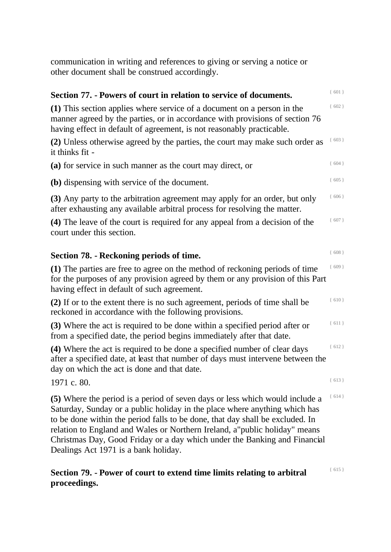communication in writing and references to giving or serving a notice or other document shall be construed accordingly.

| Section 77. - Powers of court in relation to service of documents.                                                                                                                                                                                                                                                                                                                                                                              | ${601}$ |
|-------------------------------------------------------------------------------------------------------------------------------------------------------------------------------------------------------------------------------------------------------------------------------------------------------------------------------------------------------------------------------------------------------------------------------------------------|---------|
| (1) This section applies where service of a document on a person in the<br>manner agreed by the parties, or in accordance with provisions of section 76<br>having effect in default of agreement, is not reasonably practicable.                                                                                                                                                                                                                | ${602}$ |
| (2) Unless otherwise agreed by the parties, the court may make such order as<br>it thinks fit -                                                                                                                                                                                                                                                                                                                                                 | ${603}$ |
| (a) for service in such manner as the court may direct, or                                                                                                                                                                                                                                                                                                                                                                                      | ${604}$ |
| (b) dispensing with service of the document.                                                                                                                                                                                                                                                                                                                                                                                                    | ${605}$ |
| (3) Any party to the arbitration agreement may apply for an order, but only<br>after exhausting any available arbitral process for resolving the matter.                                                                                                                                                                                                                                                                                        | ${606}$ |
| (4) The leave of the court is required for any appeal from a decision of the<br>court under this section.                                                                                                                                                                                                                                                                                                                                       | ${607}$ |
| Section 78. - Reckoning periods of time.                                                                                                                                                                                                                                                                                                                                                                                                        | ${608}$ |
| (1) The parties are free to agree on the method of reckoning periods of time<br>for the purposes of any provision agreed by them or any provision of this Part<br>having effect in default of such agreement.                                                                                                                                                                                                                                   | ${609}$ |
| (2) If or to the extent there is no such agreement, periods of time shall be<br>reckoned in accordance with the following provisions.                                                                                                                                                                                                                                                                                                           | ${610}$ |
| (3) Where the act is required to be done within a specified period after or<br>from a specified date, the period begins immediately after that date.                                                                                                                                                                                                                                                                                            | ${611}$ |
| (4) Where the act is required to be done a specified number of clear days<br>after a specified date, at least that number of days must intervene between the<br>day on which the act is done and that date.                                                                                                                                                                                                                                     | ${612}$ |
| 1971 c. 80.                                                                                                                                                                                                                                                                                                                                                                                                                                     | ${613}$ |
| (5) Where the period is a period of seven days or less which would include a<br>Saturday, Sunday or a public holiday in the place where anything which has<br>to be done within the period falls to be done, that day shall be excluded. In<br>relation to England and Wales or Northern Ireland, a "public holiday" means<br>Christmas Day, Good Friday or a day which under the Banking and Financial<br>Dealings Act 1971 is a bank holiday. | ${614}$ |

**Section 79. - Power of court to extend time limits relating to arbitral proceedings.**  { 615 }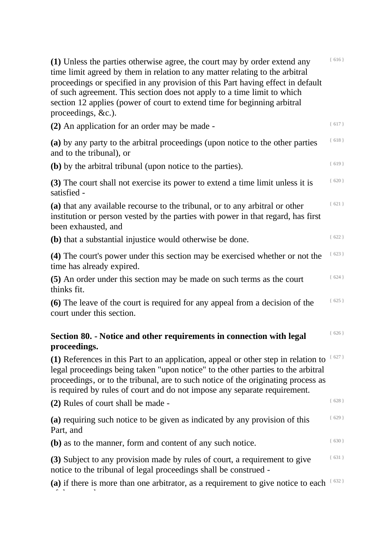| (1) Unless the parties otherwise agree, the court may by order extend any<br>time limit agreed by them in relation to any matter relating to the arbitral<br>proceedings or specified in any provision of this Part having effect in default<br>of such agreement. This section does not apply to a time limit to which<br>section 12 applies (power of court to extend time for beginning arbitral<br>proceedings, &c.). | ${616}$ |
|---------------------------------------------------------------------------------------------------------------------------------------------------------------------------------------------------------------------------------------------------------------------------------------------------------------------------------------------------------------------------------------------------------------------------|---------|
| (2) An application for an order may be made -                                                                                                                                                                                                                                                                                                                                                                             | ${617}$ |
| (a) by any party to the arbitral proceedings (upon notice to the other parties<br>and to the tribunal), or                                                                                                                                                                                                                                                                                                                | ${618}$ |
| <b>(b)</b> by the arbitral tribunal (upon notice to the parties).                                                                                                                                                                                                                                                                                                                                                         | ${619}$ |
| (3) The court shall not exercise its power to extend a time limit unless it is<br>satisfied -                                                                                                                                                                                                                                                                                                                             | ${620}$ |
| (a) that any available recourse to the tribunal, or to any arbitral or other<br>institution or person vested by the parties with power in that regard, has first<br>been exhausted, and                                                                                                                                                                                                                                   | ${621}$ |
| (b) that a substantial injustice would otherwise be done.                                                                                                                                                                                                                                                                                                                                                                 | ${622}$ |
| (4) The court's power under this section may be exercised whether or not the<br>time has already expired.                                                                                                                                                                                                                                                                                                                 | ${623}$ |
| (5) An order under this section may be made on such terms as the court<br>thinks fit.                                                                                                                                                                                                                                                                                                                                     | ${624}$ |
| (6) The leave of the court is required for any appeal from a decision of the<br>court under this section.                                                                                                                                                                                                                                                                                                                 | ${625}$ |
| Section 80. - Notice and other requirements in connection with legal<br>proceedings.                                                                                                                                                                                                                                                                                                                                      | ${626}$ |
| (1) References in this Part to an application, appeal or other step in relation to<br>legal proceedings being taken "upon notice" to the other parties to the arbitral<br>proceedings, or to the tribunal, are to such notice of the originating process as<br>is required by rules of court and do not impose any separate requirement.                                                                                  | ${627}$ |
| (2) Rules of court shall be made -                                                                                                                                                                                                                                                                                                                                                                                        | ${628}$ |
| (a) requiring such notice to be given as indicated by any provision of this<br>Part, and                                                                                                                                                                                                                                                                                                                                  | ${629}$ |
| (b) as to the manner, form and content of any such notice.                                                                                                                                                                                                                                                                                                                                                                | ${630}$ |
| (3) Subject to any provision made by rules of court, a requirement to give<br>notice to the tribunal of legal proceedings shall be construed -                                                                                                                                                                                                                                                                            | ${631}$ |
| (a) if there is more than one arbitrator, as a requirement to give notice to each                                                                                                                                                                                                                                                                                                                                         | ${632}$ |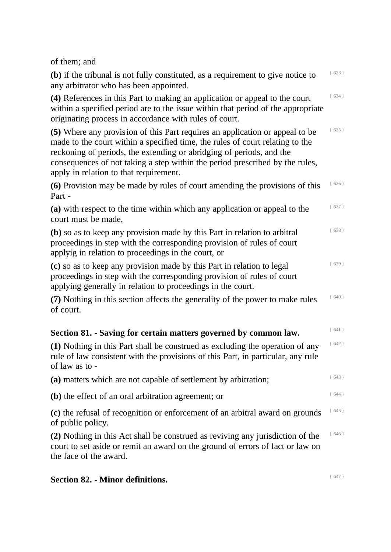| of them; and                                                                                                                                                                                                                                                                                                                                                    |         |
|-----------------------------------------------------------------------------------------------------------------------------------------------------------------------------------------------------------------------------------------------------------------------------------------------------------------------------------------------------------------|---------|
| (b) if the tribunal is not fully constituted, as a requirement to give notice to<br>any arbitrator who has been appointed.                                                                                                                                                                                                                                      | ${633}$ |
| (4) References in this Part to making an application or appeal to the court<br>within a specified period are to the issue within that period of the appropriate<br>originating process in accordance with rules of court.                                                                                                                                       | ${634}$ |
| (5) Where any provision of this Part requires an application or appeal to be<br>made to the court within a specified time, the rules of court relating to the<br>reckoning of periods, the extending or abridging of periods, and the<br>consequences of not taking a step within the period prescribed by the rules,<br>apply in relation to that requirement. | ${635}$ |
| (6) Provision may be made by rules of court amending the provisions of this<br>Part -                                                                                                                                                                                                                                                                           | ${636}$ |
| (a) with respect to the time within which any application or appeal to the<br>court must be made,                                                                                                                                                                                                                                                               | ${637}$ |
| (b) so as to keep any provision made by this Part in relation to arbitral<br>proceedings in step with the corresponding provision of rules of court<br>applyig in relation to proceedings in the court, or                                                                                                                                                      | ${638}$ |
| (c) so as to keep any provision made by this Part in relation to legal<br>proceedings in step with the corresponding provision of rules of court<br>applying generally in relation to proceedings in the court.                                                                                                                                                 | ${639}$ |
| (7) Nothing in this section affects the generality of the power to make rules<br>of court.                                                                                                                                                                                                                                                                      | ${640}$ |
| Section 81. - Saving for certain matters governed by common law.                                                                                                                                                                                                                                                                                                | ${641}$ |
| (1) Nothing in this Part shall be construed as excluding the operation of any<br>rule of law consistent with the provisions of this Part, in particular, any rule<br>of law as to -                                                                                                                                                                             | ${642}$ |
| (a) matters which are not capable of settlement by arbitration;                                                                                                                                                                                                                                                                                                 | ${643}$ |
| (b) the effect of an oral arbitration agreement; or                                                                                                                                                                                                                                                                                                             | ${644}$ |
| (c) the refusal of recognition or enforcement of an arbitral award on grounds<br>of public policy.                                                                                                                                                                                                                                                              | ${645}$ |
| (2) Nothing in this Act shall be construed as reviving any jurisdiction of the<br>court to set aside or remit an award on the ground of errors of fact or law on<br>the face of the award.                                                                                                                                                                      | ${646}$ |
|                                                                                                                                                                                                                                                                                                                                                                 |         |

Section 82. - Minor definitions.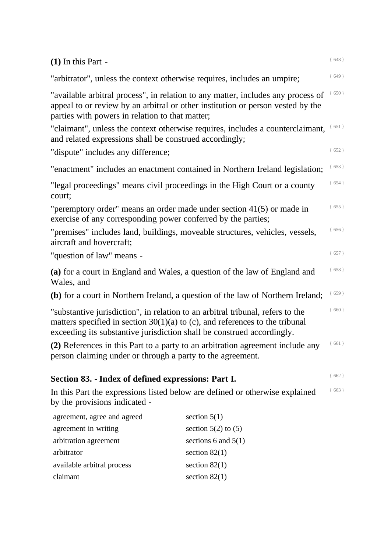| $(1)$ In this Part -                                                                                                                                                                                                                       |                                                                                                                                                                     | ${648}$ |
|--------------------------------------------------------------------------------------------------------------------------------------------------------------------------------------------------------------------------------------------|---------------------------------------------------------------------------------------------------------------------------------------------------------------------|---------|
| "arbitrator", unless the context otherwise requires, includes an umpire;                                                                                                                                                                   |                                                                                                                                                                     | ${649}$ |
| parties with powers in relation to that matter;                                                                                                                                                                                            | "available arbitral process", in relation to any matter, includes any process of<br>appeal to or review by an arbitral or other institution or person vested by the | ${650}$ |
| and related expressions shall be construed accordingly;                                                                                                                                                                                    | "claimant", unless the context otherwise requires, includes a counterclaimant,                                                                                      | ${651}$ |
| "dispute" includes any difference;                                                                                                                                                                                                         |                                                                                                                                                                     | ${652}$ |
|                                                                                                                                                                                                                                            | "enactment" includes an enactment contained in Northern Ireland legislation;                                                                                        | ${653}$ |
| "legal proceedings" means civil proceedings in the High Court or a county<br>court;                                                                                                                                                        |                                                                                                                                                                     | ${654}$ |
| "peremptory order" means an order made under section $41(5)$ or made in<br>exercise of any corresponding power conferred by the parties;                                                                                                   |                                                                                                                                                                     | ${655}$ |
| "premises" includes land, buildings, moveable structures, vehicles, vessels,<br>aircraft and hovercraft;                                                                                                                                   |                                                                                                                                                                     | ${656}$ |
| "question of law" means -                                                                                                                                                                                                                  |                                                                                                                                                                     | ${657}$ |
| (a) for a court in England and Wales, a question of the law of England and<br>Wales, and                                                                                                                                                   |                                                                                                                                                                     | ${658}$ |
|                                                                                                                                                                                                                                            | (b) for a court in Northern Ireland, a question of the law of Northern Ireland;                                                                                     | ${659}$ |
| "substantive jurisdiction", in relation to an arbitral tribunal, refers to the<br>matters specified in section $30(1)(a)$ to (c), and references to the tribunal<br>exceeding its substantive jurisdiction shall be construed accordingly. |                                                                                                                                                                     | ${660}$ |
| person claiming under or through a party to the agreement.                                                                                                                                                                                 | (2) References in this Part to a party to an arbitration agreement include any                                                                                      | ${661}$ |
| Section 83. - Index of defined expressions: Part I.                                                                                                                                                                                        |                                                                                                                                                                     | ${662}$ |
| In this Part the expressions listed below are defined or otherwise explained<br>by the provisions indicated -                                                                                                                              |                                                                                                                                                                     | ${663}$ |
| agreement, agree and agreed                                                                                                                                                                                                                | section $5(1)$                                                                                                                                                      |         |
| agreement in writing                                                                                                                                                                                                                       | section $5(2)$ to $(5)$                                                                                                                                             |         |
| arbitration agreement                                                                                                                                                                                                                      | sections 6 and $5(1)$                                                                                                                                               |         |
| arbitrator                                                                                                                                                                                                                                 | section $82(1)$                                                                                                                                                     |         |
| available arbitral process                                                                                                                                                                                                                 | section $82(1)$                                                                                                                                                     |         |

claimant section 82(1)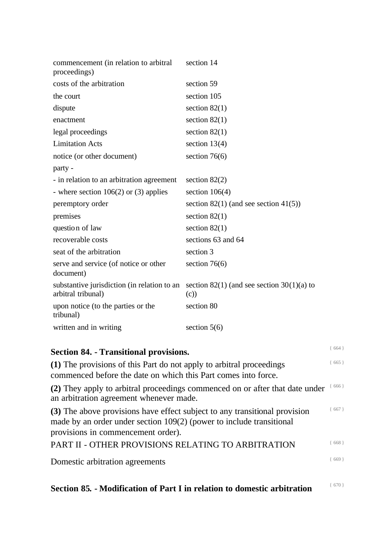| commencement (in relation to arbitral<br>proceedings)                                                                                                                                    | section 14                                                                   |         |
|------------------------------------------------------------------------------------------------------------------------------------------------------------------------------------------|------------------------------------------------------------------------------|---------|
| costs of the arbitration                                                                                                                                                                 | section 59                                                                   |         |
| the court                                                                                                                                                                                | section 105                                                                  |         |
| dispute                                                                                                                                                                                  | section $82(1)$                                                              |         |
| enactment                                                                                                                                                                                | section $82(1)$                                                              |         |
| legal proceedings                                                                                                                                                                        | section $82(1)$                                                              |         |
| <b>Limitation Acts</b>                                                                                                                                                                   | section $13(4)$                                                              |         |
| notice (or other document)                                                                                                                                                               | section $76(6)$                                                              |         |
| party -                                                                                                                                                                                  |                                                                              |         |
| - in relation to an arbitration agreement                                                                                                                                                | section $82(2)$                                                              |         |
| - where section $106(2)$ or (3) applies                                                                                                                                                  | section $106(4)$                                                             |         |
| peremptory order                                                                                                                                                                         | section $82(1)$ (and see section $41(5)$ )                                   |         |
| premises                                                                                                                                                                                 | section $82(1)$                                                              |         |
| question of law                                                                                                                                                                          | section $82(1)$                                                              |         |
| recoverable costs                                                                                                                                                                        | sections 63 and 64                                                           |         |
| seat of the arbitration                                                                                                                                                                  | section 3                                                                    |         |
| serve and service (of notice or other<br>document)                                                                                                                                       | section $76(6)$                                                              |         |
| substantive jurisdiction (in relation to an<br>arbitral tribunal)                                                                                                                        | section $82(1)$ (and see section $30(1)(a)$ to<br>(c)                        |         |
| upon notice (to the parties or the<br>tribunal)                                                                                                                                          | section 80                                                                   |         |
| written and in writing                                                                                                                                                                   | section $5(6)$                                                               |         |
| <b>Section 84. - Transitional provisions.</b>                                                                                                                                            |                                                                              | ${664}$ |
| (1) The provisions of this Part do not apply to arbitral proceedings<br>commenced before the date on which this Part comes into force.                                                   |                                                                              | ${665}$ |
| an arbitration agreement whenever made.                                                                                                                                                  | (2) They apply to arbitral proceedings commenced on or after that date under | ${666}$ |
| (3) The above provisions have effect subject to any transitional provision<br>made by an order under section 109(2) (power to include transitional<br>provisions in commencement order). |                                                                              | ${667}$ |
| PART II - OTHER PROVISIONS RELATING TO ARBITRATION                                                                                                                                       |                                                                              | ${668}$ |
| Domestic arbitration agreements                                                                                                                                                          |                                                                              | ${669}$ |
|                                                                                                                                                                                          |                                                                              |         |

| Section 85. - Modification of Part I in relation to domestic arbitration | $670$ } |
|--------------------------------------------------------------------------|---------|
|--------------------------------------------------------------------------|---------|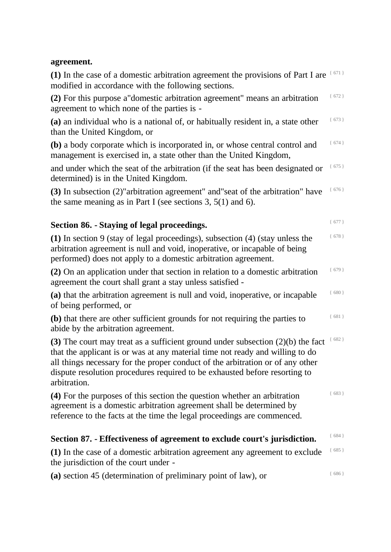## **agreement.**

| (1) In the case of a domestic arbitration agreement the provisions of Part I are<br>modified in accordance with the following sections.                                                                                                                                                                                                            | ${671}$ |
|----------------------------------------------------------------------------------------------------------------------------------------------------------------------------------------------------------------------------------------------------------------------------------------------------------------------------------------------------|---------|
| (2) For this purpose a domestic arbitration agreement" means an arbitration<br>agreement to which none of the parties is -                                                                                                                                                                                                                         | ${672}$ |
| (a) an individual who is a national of, or habitually resident in, a state other<br>than the United Kingdom, or                                                                                                                                                                                                                                    | ${673}$ |
| (b) a body corporate which is incorporated in, or whose central control and<br>management is exercised in, a state other than the United Kingdom,                                                                                                                                                                                                  | ${674}$ |
| and under which the seat of the arbitration (if the seat has been designated or<br>determined) is in the United Kingdom.                                                                                                                                                                                                                           | ${675}$ |
| (3) In subsection (2)" arbitration agreement" and "seat of the arbitration" have<br>the same meaning as in Part I (see sections 3, $5(1)$ and 6).                                                                                                                                                                                                  | ${676}$ |
| Section 86. - Staying of legal proceedings.                                                                                                                                                                                                                                                                                                        | ${677}$ |
| (1) In section 9 (stay of legal proceedings), subsection (4) (stay unless the<br>arbitration agreement is null and void, inoperative, or incapable of being<br>performed) does not apply to a domestic arbitration agreement.                                                                                                                      | ${678}$ |
| (2) On an application under that section in relation to a domestic arbitration<br>agreement the court shall grant a stay unless satisfied -                                                                                                                                                                                                        | ${679}$ |
| (a) that the arbitration agreement is null and void, inoperative, or incapable<br>of being performed, or                                                                                                                                                                                                                                           | ${680}$ |
| (b) that there are other sufficient grounds for not requiring the parties to<br>abide by the arbitration agreement.                                                                                                                                                                                                                                | ${681}$ |
| (3) The court may treat as a sufficient ground under subsection $(2)(b)$ the fact<br>that the applicant is or was at any material time not ready and willing to do<br>all things necessary for the proper conduct of the arbitration or of any other<br>dispute resolution procedures required to be exhausted before resorting to<br>arbitration. | ${682}$ |
| (4) For the purposes of this section the question whether an arbitration<br>agreement is a domestic arbitration agreement shall be determined by<br>reference to the facts at the time the legal proceedings are commenced.                                                                                                                        | ${683}$ |
| Section 87. - Effectiveness of agreement to exclude court's jurisdiction.                                                                                                                                                                                                                                                                          | ${684}$ |
| (1) In the case of a domestic arbitration agreement any agreement to exclude<br>the jurisdiction of the court under -                                                                                                                                                                                                                              | ${685}$ |
|                                                                                                                                                                                                                                                                                                                                                    |         |

**(a)** section 45 (determination of preliminary point of law), or { <sup>686</sup> }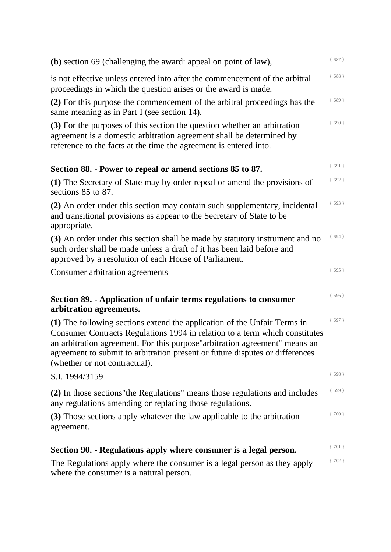| (b) section 69 (challenging the award: appeal on point of law),                                                                                                                                                                                                                                                                                        | ${687}$ |
|--------------------------------------------------------------------------------------------------------------------------------------------------------------------------------------------------------------------------------------------------------------------------------------------------------------------------------------------------------|---------|
| is not effective unless entered into after the commencement of the arbitral<br>proceedings in which the question arises or the award is made.                                                                                                                                                                                                          | ${688}$ |
| (2) For this purpose the commencement of the arbitral proceedings has the<br>same meaning as in Part I (see section 14).                                                                                                                                                                                                                               | ${689}$ |
| (3) For the purposes of this section the question whether an arbitration<br>agreement is a domestic arbitration agreement shall be determined by<br>reference to the facts at the time the agreement is entered into.                                                                                                                                  | ${690}$ |
| Section 88. - Power to repeal or amend sections 85 to 87.                                                                                                                                                                                                                                                                                              | ${691}$ |
| (1) The Secretary of State may by order repeal or amend the provisions of<br>sections 85 to 87.                                                                                                                                                                                                                                                        | ${692}$ |
| (2) An order under this section may contain such supplementary, incidental<br>and transitional provisions as appear to the Secretary of State to be<br>appropriate.                                                                                                                                                                                    | ${693}$ |
| (3) An order under this section shall be made by statutory instrument and no<br>such order shall be made unless a draft of it has been laid before and<br>approved by a resolution of each House of Parliament.                                                                                                                                        | ${694}$ |
| Consumer arbitration agreements                                                                                                                                                                                                                                                                                                                        | ${695}$ |
| Section 89. - Application of unfair terms regulations to consumer<br>arbitration agreements.                                                                                                                                                                                                                                                           | ${696}$ |
| (1) The following sections extend the application of the Unfair Terms in<br>Consumer Contracts Regulations 1994 in relation to a term which constitutes<br>an arbitration agreement. For this purpose"arbitration agreement" means an<br>agreement to submit to arbitration present or future disputes or differences<br>(whether or not contractual). | ${697}$ |
| S.I. 1994/3159                                                                                                                                                                                                                                                                                                                                         | ${698}$ |
| (2) In those sections "the Regulations" means those regulations and includes<br>any regulations amending or replacing those regulations.                                                                                                                                                                                                               | ${699}$ |
| (3) Those sections apply whatever the law applicable to the arbitration<br>agreement.                                                                                                                                                                                                                                                                  | ${700}$ |
| Section 90. - Regulations apply where consumer is a legal person.                                                                                                                                                                                                                                                                                      | ${701}$ |
| The Regulations apply where the consumer is a legal person as they apply<br>where the consumer is a natural person.                                                                                                                                                                                                                                    | ${702}$ |
|                                                                                                                                                                                                                                                                                                                                                        |         |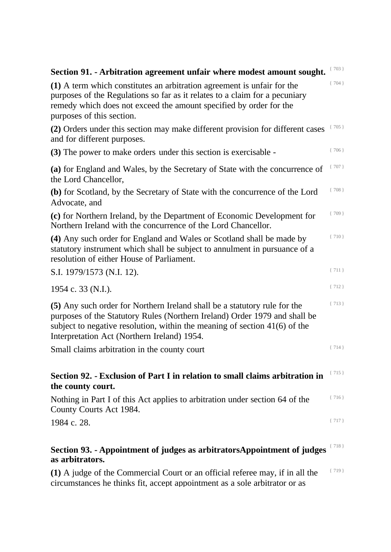| Section 91. - Arbitration agreement unfair where modest amount sought.                                                                                                                                                                                                                 | ${703}$ |
|----------------------------------------------------------------------------------------------------------------------------------------------------------------------------------------------------------------------------------------------------------------------------------------|---------|
| (1) A term which constitutes an arbitration agreement is unfair for the<br>purposes of the Regulations so far as it relates to a claim for a pecuniary<br>remedy which does not exceed the amount specified by order for the<br>purposes of this section.                              | ${704}$ |
| (2) Orders under this section may make different provision for different cases<br>and for different purposes.                                                                                                                                                                          | ${705}$ |
| (3) The power to make orders under this section is exercisable -                                                                                                                                                                                                                       | ${706}$ |
| (a) for England and Wales, by the Secretary of State with the concurrence of<br>the Lord Chancellor,                                                                                                                                                                                   | ${707}$ |
| (b) for Scotland, by the Secretary of State with the concurrence of the Lord<br>Advocate, and                                                                                                                                                                                          | ${708}$ |
| (c) for Northern Ireland, by the Department of Economic Development for<br>Northern Ireland with the concurrence of the Lord Chancellor.                                                                                                                                               | ${709}$ |
| (4) Any such order for England and Wales or Scotland shall be made by<br>statutory instrument which shall be subject to annulment in pursuance of a<br>resolution of either House of Parliament.                                                                                       | ${710}$ |
| S.I. 1979/1573 (N.I. 12).                                                                                                                                                                                                                                                              | ${711}$ |
| 1954 c. 33 (N.I.).                                                                                                                                                                                                                                                                     | ${712}$ |
| (5) Any such order for Northern Ireland shall be a statutory rule for the<br>purposes of the Statutory Rules (Northern Ireland) Order 1979 and shall be<br>subject to negative resolution, within the meaning of section $41(6)$ of the<br>Interpretation Act (Northern Ireland) 1954. | ${713}$ |
| Small claims arbitration in the county court                                                                                                                                                                                                                                           | ${714}$ |
| Section 92. - Exclusion of Part I in relation to small claims arbitration in<br>the county court.                                                                                                                                                                                      | ${715}$ |
| Nothing in Part I of this Act applies to arbitration under section 64 of the<br>County Courts Act 1984.                                                                                                                                                                                | ${716}$ |
| 1984 c. 28.                                                                                                                                                                                                                                                                            | ${717}$ |
| Section 93 - Appointment of judges as arbitrators Appointment of judges $^{\{718\}}$                                                                                                                                                                                                   |         |

## **Section 93. - Appointment of judges as arbitratorsAppointment of judges as arbitrators.**

**(1)** A judge of the Commercial Court or an official referee may, if in all the circumstances he thinks fit, accept appointment as a sole arbitrator or as { 719 }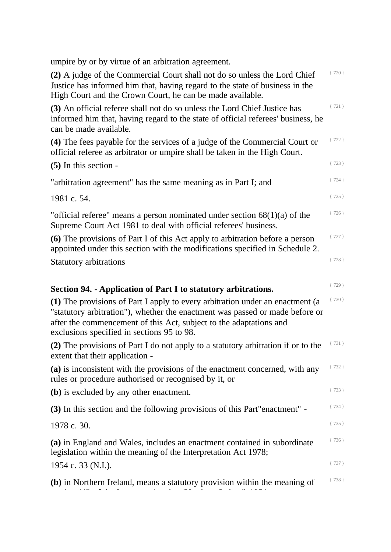umpire by or by virtue of an arbitration agreement.

| (2) A judge of the Commercial Court shall not do so unless the Lord Chief<br>Justice has informed him that, having regard to the state of business in the<br>High Court and the Crown Court, he can be made available.                                                            | ${720}$ |
|-----------------------------------------------------------------------------------------------------------------------------------------------------------------------------------------------------------------------------------------------------------------------------------|---------|
| (3) An official referee shall not do so unless the Lord Chief Justice has<br>informed him that, having regard to the state of official referees' business, he<br>can be made available.                                                                                           | ${721}$ |
| (4) The fees payable for the services of a judge of the Commercial Court or<br>official referee as arbitrator or umpire shall be taken in the High Court.                                                                                                                         | ${722}$ |
| $(5)$ In this section -                                                                                                                                                                                                                                                           | ${723}$ |
| "arbitration agreement" has the same meaning as in Part I; and                                                                                                                                                                                                                    | ${724}$ |
| 1981 c. 54.                                                                                                                                                                                                                                                                       | ${725}$ |
| "official referee" means a person nominated under section $68(1)(a)$ of the<br>Supreme Court Act 1981 to deal with official referees' business.                                                                                                                                   | ${726}$ |
| (6) The provisions of Part I of this Act apply to arbitration before a person<br>appointed under this section with the modifications specified in Schedule 2.                                                                                                                     | ${727}$ |
| <b>Statutory arbitrations</b>                                                                                                                                                                                                                                                     | ${728}$ |
| Section 94. - Application of Part I to statutory arbitrations.                                                                                                                                                                                                                    | ${729}$ |
| (1) The provisions of Part I apply to every arbitration under an enactment (a<br>"statutory arbitration"), whether the enactment was passed or made before or<br>after the commencement of this Act, subject to the adaptations and<br>exclusions specified in sections 95 to 98. | ${730}$ |
| (2) The provisions of Part I do not apply to a statutory arbitration if or to the<br>extent that their application -                                                                                                                                                              | ${731}$ |
| (a) is inconsistent with the provisions of the enactment concerned, with any<br>rules or procedure authorised or recognised by it, or                                                                                                                                             | ${732}$ |
| (b) is excluded by any other enactment.                                                                                                                                                                                                                                           | ${733}$ |
| (3) In this section and the following provisions of this Part"enactment" -                                                                                                                                                                                                        | ${734}$ |
| 1978 c. 30.                                                                                                                                                                                                                                                                       | ${735}$ |
| (a) in England and Wales, includes an enactment contained in subordinate<br>legislation within the meaning of the Interpretation Act 1978;                                                                                                                                        | ${736}$ |
| 1954 c. 33 (N.I.).                                                                                                                                                                                                                                                                | ${737}$ |
| (b) in Northern Ireland, means a statutory provision within the meaning of                                                                                                                                                                                                        | ${738}$ |

section 1(f) of the Interpretation Act (Northern Ireland) 1954.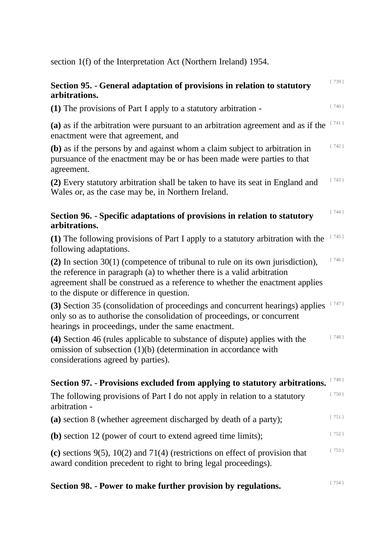section 1(f) of the Interpretation Act (Northern Ireland) 1954.

| Section 95. - General adaptation of provisions in relation to statutory<br>arbitrations.                                                                                                                                                                                                | ${739}$ |
|-----------------------------------------------------------------------------------------------------------------------------------------------------------------------------------------------------------------------------------------------------------------------------------------|---------|
| (1) The provisions of Part I apply to a statutory arbitration -                                                                                                                                                                                                                         | ${740}$ |
| (a) as if the arbitration were pursuant to an arbitration agreement and as if the<br>enactment were that agreement, and                                                                                                                                                                 | ${741}$ |
| (b) as if the persons by and against whom a claim subject to arbitration in<br>pursuance of the enactment may be or has been made were parties to that<br>agreement.                                                                                                                    | ${742}$ |
| (2) Every statutory arbitration shall be taken to have its seat in England and<br>Wales or, as the case may be, in Northern Ireland.                                                                                                                                                    | ${743}$ |
| Section 96. - Specific adaptations of provisions in relation to statutory<br>arbitrations.                                                                                                                                                                                              | ${744}$ |
| (1) The following provisions of Part I apply to a statutory arbitration with the<br>following adaptations.                                                                                                                                                                              | ${745}$ |
| $(2)$ In section 30(1) (competence of tribunal to rule on its own jurisdiction),<br>the reference in paragraph (a) to whether there is a valid arbitration<br>agreement shall be construed as a reference to whether the enactment applies<br>to the dispute or difference in question. | ${746}$ |
| (3) Section 35 (consolidation of proceedings and concurrent hearings) applies<br>only so as to authorise the consolidation of proceedings, or concurrent<br>hearings in proceedings, under the same enactment.                                                                          | ${747}$ |
| (4) Section 46 (rules applicable to substance of dispute) applies with the<br>omission of subsection $(1)(b)$ (determination in accordance with<br>considerations agreed by parties).                                                                                                   | ${748}$ |
| Section 97. - Provisions excluded from applying to statutory arbitrations.                                                                                                                                                                                                              | ${749}$ |
| The following provisions of Part I do not apply in relation to a statutory<br>arbitration -                                                                                                                                                                                             | ${750}$ |
| (a) section 8 (whether agreement discharged by death of a party);                                                                                                                                                                                                                       | ${751}$ |
| <b>(b)</b> section 12 (power of court to extend agreed time limits);                                                                                                                                                                                                                    | ${752}$ |
| (c) sections $9(5)$ , $10(2)$ and $71(4)$ (restrictions on effect of provision that<br>award condition precedent to right to bring legal proceedings).                                                                                                                                  | ${753}$ |

# **Section 98. - Power to make further provision by regulations.**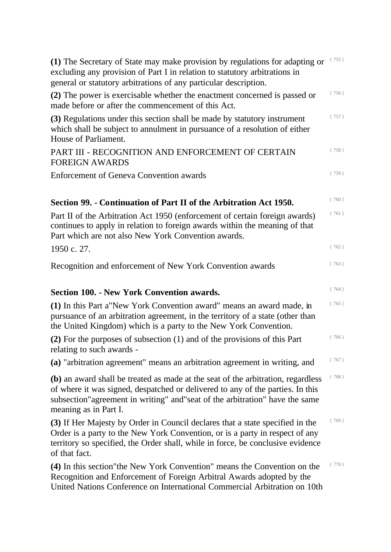| (1) The Secretary of State may make provision by regulations for adapting or<br>excluding any provision of Part I in relation to statutory arbitrations in<br>general or statutory arbitrations of any particular description.                                               | ${755}$ |
|------------------------------------------------------------------------------------------------------------------------------------------------------------------------------------------------------------------------------------------------------------------------------|---------|
| (2) The power is exercisable whether the enactment concerned is passed or<br>made before or after the commencement of this Act.                                                                                                                                              | ${756}$ |
| (3) Regulations under this section shall be made by statutory instrument<br>which shall be subject to annulment in pursuance of a resolution of either<br>House of Parliament.                                                                                               | ${757}$ |
| PART III - RECOGNITION AND ENFORCEMENT OF CERTAIN<br><b>FOREIGN AWARDS</b>                                                                                                                                                                                                   | ${758}$ |
| <b>Enforcement of Geneva Convention awards</b>                                                                                                                                                                                                                               | ${759}$ |
| Section 99. - Continuation of Part II of the Arbitration Act 1950.                                                                                                                                                                                                           | ${760}$ |
| Part II of the Arbitration Act 1950 (enforcement of certain foreign awards)<br>continues to apply in relation to foreign awards within the meaning of that<br>Part which are not also New York Convention awards.                                                            | ${761}$ |
| 1950 c. 27.                                                                                                                                                                                                                                                                  | ${762}$ |
| Recognition and enforcement of New York Convention awards                                                                                                                                                                                                                    | ${763}$ |
| <b>Section 100. - New York Convention awards.</b>                                                                                                                                                                                                                            | ${764}$ |
| (1) In this Part a "New York Convention award" means an award made, in<br>pursuance of an arbitration agreement, in the territory of a state (other than<br>the United Kingdom) which is a party to the New York Convention.                                                 | ${765}$ |
| (2) For the purposes of subsection (1) and of the provisions of this Part<br>relating to such awards -                                                                                                                                                                       | ${766}$ |
| (a) "arbitration agreement" means an arbitration agreement in writing, and                                                                                                                                                                                                   | ${767}$ |
| (b) an award shall be treated as made at the seat of the arbitration, regardless<br>of where it was signed, despatched or delivered to any of the parties. In this<br>subsection" agreement in writing" and "seat of the arbitration" have the same<br>meaning as in Part I. | ${768}$ |
| (3) If Her Majesty by Order in Council declares that a state specified in the<br>Order is a party to the New York Convention, or is a party in respect of any<br>territory so specified, the Order shall, while in force, be conclusive evidence<br>of that fact.            | ${769}$ |
| (4) In this section the New York Convention" means the Convention on the<br>Recognition and Enforcement of Foreign Arbitral Awards adopted by the<br>United Nations Conference on International Commercial Arbitration on 10th                                               | ${770}$ |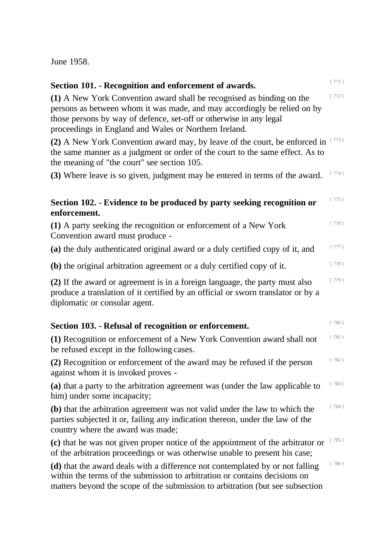June 1958.

| Section 101. - Recognition and enforcement of awards.                                                                                                                                                                                                                            | $\{771\}$ |
|----------------------------------------------------------------------------------------------------------------------------------------------------------------------------------------------------------------------------------------------------------------------------------|-----------|
| (1) A New York Convention award shall be recognised as binding on the<br>persons as between whom it was made, and may accordingly be relied on by<br>those persons by way of defence, set-off or otherwise in any legal<br>proceedings in England and Wales or Northern Ireland. | ${772}$   |
| (2) A New York Convention award may, by leave of the court, be enforced in<br>the same manner as a judgment or order of the court to the same effect. As to<br>the meaning of "the court" see section 105.                                                                       | ${773}$   |
| (3) Where leave is so given, judgment may be entered in terms of the award.                                                                                                                                                                                                      | ${774}$   |
| Section 102. - Evidence to be produced by party seeking recognition or<br>enforcement.                                                                                                                                                                                           | ${775}$   |
| (1) A party seeking the recognition or enforcement of a New York<br>Convention award must produce -                                                                                                                                                                              | ${776}$   |
| (a) the duly authenticated original award or a duly certified copy of it, and                                                                                                                                                                                                    | ${777}$   |
| (b) the original arbitration agreement or a duly certified copy of it.                                                                                                                                                                                                           | ${778}$   |
| (2) If the award or agreement is in a foreign language, the party must also<br>produce a translation of it certified by an official or sworn translator or by a<br>diplomatic or consular agent.                                                                                 | ${779}$   |
| Section 103. - Refusal of recognition or enforcement.                                                                                                                                                                                                                            | ${780}$   |
| (1) Recognition or enforcement of a New York Convention award shall not<br>be refused except in the following cases.                                                                                                                                                             | ${781}$   |
| (2) Recognition or enforcement of the award may be refused if the person<br>against whom it is invoked proves -                                                                                                                                                                  | ${782}$   |
| (a) that a party to the arbitration agreement was (under the law applicable to<br>him) under some incapacity;                                                                                                                                                                    | ${783}$   |
| (b) that the arbitration agreement was not valid under the law to which the<br>parties subjected it or, failing any indication thereon, under the law of the<br>country where the award was made;                                                                                | ${784}$   |
| (c) that he was not given proper notice of the appointment of the arbitrator or<br>of the arbitration proceedings or was otherwise unable to present his case;                                                                                                                   | ${785}$   |
| (d) that the award deals with a difference not contemplated by or not falling<br>within the terms of the submission to arbitration or contains decisions on<br>matters beyond the scope of the submission to arbitration (but see subsection                                     | ${786}$   |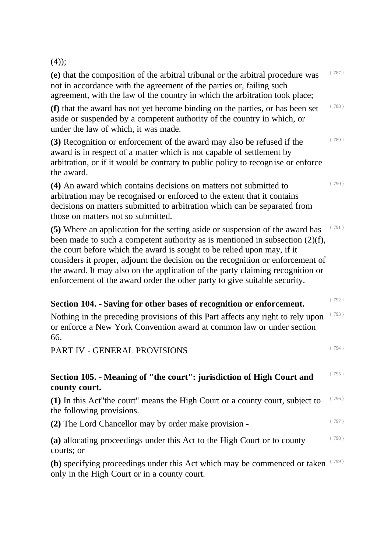| $(4)$ ;                                                                                                                                                                                                                                                                                                                                                                                                                                                                                    |         |
|--------------------------------------------------------------------------------------------------------------------------------------------------------------------------------------------------------------------------------------------------------------------------------------------------------------------------------------------------------------------------------------------------------------------------------------------------------------------------------------------|---------|
| (e) that the composition of the arbitral tribunal or the arbitral procedure was<br>not in accordance with the agreement of the parties or, failing such<br>agreement, with the law of the country in which the arbitration took place;                                                                                                                                                                                                                                                     | ${787}$ |
| (f) that the award has not yet become binding on the parties, or has been set<br>aside or suspended by a competent authority of the country in which, or<br>under the law of which, it was made.                                                                                                                                                                                                                                                                                           | ${788}$ |
| (3) Recognition or enforcement of the award may also be refused if the<br>award is in respect of a matter which is not capable of settlement by<br>arbitration, or if it would be contrary to public policy to recognise or enforce<br>the award.                                                                                                                                                                                                                                          | ${789}$ |
| (4) An award which contains decisions on matters not submitted to<br>arbitration may be recognised or enforced to the extent that it contains<br>decisions on matters submitted to arbitration which can be separated from<br>those on matters not so submitted.                                                                                                                                                                                                                           | ${790}$ |
| (5) Where an application for the setting aside or suspension of the award has<br>been made to such a competent authority as is mentioned in subsection (2)(f),<br>the court before which the award is sought to be relied upon may, if it<br>considers it proper, adjourn the decision on the recognition or enforcement of<br>the award. It may also on the application of the party claiming recognition or<br>enforcement of the award order the other party to give suitable security. | ${791}$ |
| Section 104. - Saving for other bases of recognition or enforcement.                                                                                                                                                                                                                                                                                                                                                                                                                       | ${792}$ |
| Nothing in the preceding provisions of this Part affects any right to rely upon<br>or enforce a New York Convention award at common law or under section<br>66.                                                                                                                                                                                                                                                                                                                            | ${793}$ |
| PART IV - GENERAL PROVISIONS                                                                                                                                                                                                                                                                                                                                                                                                                                                               | ${794}$ |
| Section 105. - Meaning of "the court": jurisdiction of High Court and<br>county court.                                                                                                                                                                                                                                                                                                                                                                                                     | ${795}$ |
| (1) In this Act the court" means the High Court or a county court, subject to<br>the following provisions.                                                                                                                                                                                                                                                                                                                                                                                 | ${796}$ |
| (2) The Lord Chancellor may by order make provision -                                                                                                                                                                                                                                                                                                                                                                                                                                      | ${797}$ |
| (a) allocating proceedings under this Act to the High Court or to county<br>courts; or                                                                                                                                                                                                                                                                                                                                                                                                     | ${798}$ |
| (b) specifying proceedings under this Act which may be commenced or taken<br>only in the High Court or in a county court.                                                                                                                                                                                                                                                                                                                                                                  | 799 }   |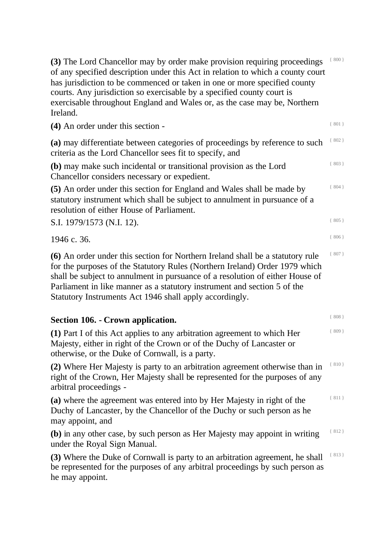| (3) The Lord Chancellor may by order make provision requiring proceedings<br>of any specified description under this Act in relation to which a county court<br>has jurisdiction to be commenced or taken in one or more specified county<br>courts. Any jurisdiction so exercisable by a specified county court is<br>exercisable throughout England and Wales or, as the case may be, Northern<br>Ireland. | ${800}$   |
|--------------------------------------------------------------------------------------------------------------------------------------------------------------------------------------------------------------------------------------------------------------------------------------------------------------------------------------------------------------------------------------------------------------|-----------|
| (4) An order under this section -                                                                                                                                                                                                                                                                                                                                                                            | $\{801\}$ |
| (a) may differentiate between categories of proceedings by reference to such<br>criteria as the Lord Chancellor sees fit to specify, and                                                                                                                                                                                                                                                                     | ${802}$   |
| (b) may make such incidental or transitional provision as the Lord<br>Chancellor considers necessary or expedient.                                                                                                                                                                                                                                                                                           | ${803}$   |
| (5) An order under this section for England and Wales shall be made by<br>statutory instrument which shall be subject to annulment in pursuance of a<br>resolution of either House of Parliament.                                                                                                                                                                                                            | ${804}$   |
| S.I. 1979/1573 (N.I. 12).                                                                                                                                                                                                                                                                                                                                                                                    | ${805}$   |
| 1946 c. 36.                                                                                                                                                                                                                                                                                                                                                                                                  | ${806}$   |
| (6) An order under this section for Northern Ireland shall be a statutory rule<br>for the purposes of the Statutory Rules (Northern Ireland) Order 1979 which<br>shall be subject to annulment in pursuance of a resolution of either House of<br>Parliament in like manner as a statutory instrument and section 5 of the<br>Statutory Instruments Act 1946 shall apply accordingly.                        | ${807}$   |
| Section 106. - Crown application.                                                                                                                                                                                                                                                                                                                                                                            | ${808}$   |
| (1) Part I of this Act applies to any arbitration agreement to which Her<br>Majesty, either in right of the Crown or of the Duchy of Lancaster or<br>otherwise, or the Duke of Cornwall, is a party.                                                                                                                                                                                                         | ${809}$   |
| (2) Where Her Majesty is party to an arbitration agreement otherwise than in<br>right of the Crown, Her Majesty shall be represented for the purposes of any<br>arbitral proceedings -                                                                                                                                                                                                                       | ${810}$   |
| (a) where the agreement was entered into by Her Majesty in right of the<br>Duchy of Lancaster, by the Chancellor of the Duchy or such person as he<br>may appoint, and                                                                                                                                                                                                                                       | ${811}$   |
| (b) in any other case, by such person as Her Majesty may appoint in writing<br>under the Royal Sign Manual.                                                                                                                                                                                                                                                                                                  | ${812}$   |
| (3) Where the Duke of Cornwall is party to an arbitration agreement, he shall<br>be represented for the purposes of any arbitral proceedings by such person as<br>he may appoint.                                                                                                                                                                                                                            | ${813}$   |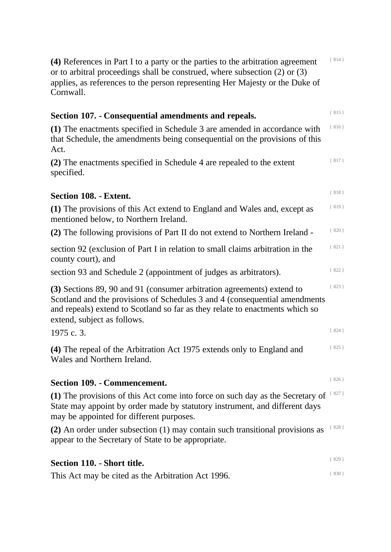**(4)** References in Part I to a party or the parties to the arbitration agreement or to arbitral proceedings shall be construed, where subsection (2) or (3) applies, as references to the person representing Her Majesty or the Duke of Cornwall. { 814 }

| Section 107. - Consequential amendments and repeals.                                                                                                                                                                                                                | ${815}$   |
|---------------------------------------------------------------------------------------------------------------------------------------------------------------------------------------------------------------------------------------------------------------------|-----------|
| (1) The enactments specified in Schedule 3 are amended in accordance with<br>that Schedule, the amendments being consequential on the provisions of this<br>Act.                                                                                                    | ${816}$   |
| (2) The enactments specified in Schedule 4 are repealed to the extent<br>specified.                                                                                                                                                                                 | ${817}$   |
| Section 108. - Extent.                                                                                                                                                                                                                                              | $\{818\}$ |
| (1) The provisions of this Act extend to England and Wales and, except as<br>mentioned below, to Northern Ireland.                                                                                                                                                  | ${819}$   |
| (2) The following provisions of Part II do not extend to Northern Ireland -                                                                                                                                                                                         | ${820}$   |
| section 92 (exclusion of Part I in relation to small claims arbitration in the<br>county court), and                                                                                                                                                                | ${821}$   |
| section 93 and Schedule 2 (appointment of judges as arbitrators).                                                                                                                                                                                                   | ${822}$   |
| (3) Sections 89, 90 and 91 (consumer arbitration agreements) extend to<br>Scotland and the provisions of Schedules 3 and 4 (consequential amendments<br>and repeals) extend to Scotland so far as they relate to enactments which so<br>extend, subject as follows. | ${823}$   |
| 1975 c. 3.                                                                                                                                                                                                                                                          | ${824}$   |
| (4) The repeal of the Arbitration Act 1975 extends only to England and<br>Wales and Northern Ireland.                                                                                                                                                               | ${825}$   |
| Section 109. - Commencement.                                                                                                                                                                                                                                        | ${826}$   |
| (1) The provisions of this Act come into force on such day as the Secretary of<br>State may appoint by order made by statutory instrument, and different days<br>may be appointed for different purposes.                                                           | $\{827\}$ |
| (2) An order under subsection (1) may contain such transitional provisions as<br>appear to the Secretary of State to be appropriate.                                                                                                                                | ${828}$   |
| Section 110. - Short title.                                                                                                                                                                                                                                         | ${829}$   |
| This Act may be cited as the Arbitration Act 1996.                                                                                                                                                                                                                  | ${830}$   |